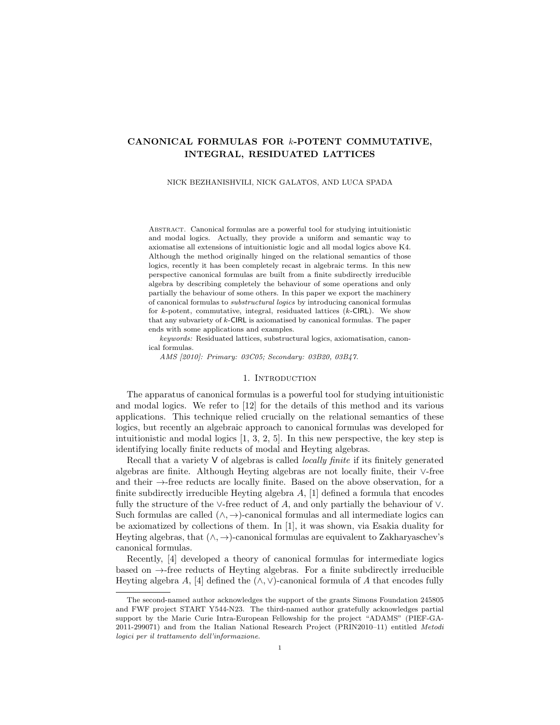# CANONICAL FORMULAS FOR k-POTENT COMMUTATIVE, INTEGRAL, RESIDUATED LATTICES

#### NICK BEZHANISHVILI, NICK GALATOS, AND LUCA SPADA

Abstract. Canonical formulas are a powerful tool for studying intuitionistic and modal logics. Actually, they provide a uniform and semantic way to axiomatise all extensions of intuitionistic logic and all modal logics above K4. Although the method originally hinged on the relational semantics of those logics, recently it has been completely recast in algebraic terms. In this new perspective canonical formulas are built from a finite subdirectly irreducible algebra by describing completely the behaviour of some operations and only partially the behaviour of some others. In this paper we export the machinery of canonical formulas to substructural logics by introducing canonical formulas for  $k$ -potent, commutative, integral, residuated lattices  $(k$ -CIRL). We show that any subvariety of  $k$ -CIRL is axiomatised by canonical formulas. The paper ends with some applications and examples.

keywords: Residuated lattices, substructural logics, axiomatisation, canonical formulas.

AMS [2010]: Primary: 03C05; Secondary: 03B20, 03B47.

#### 1. INTRODUCTION

The apparatus of canonical formulas is a powerful tool for studying intuitionistic and modal logics. We refer to [\[12\]](#page-18-0) for the details of this method and its various applications. This technique relied crucially on the relational semantics of these logics, but recently an algebraic approach to canonical formulas was developed for intuitionistic and modal logics [\[1,](#page-18-1) [3,](#page-18-2) [2,](#page-18-3) [5\]](#page-18-4). In this new perspective, the key step is identifying locally finite reducts of modal and Heyting algebras.

Recall that a variety  $V$  of algebras is called *locally finite* if its finitely generated algebras are finite. Although Heyting algebras are not locally finite, their ∨-free and their →-free reducts are locally finite. Based on the above observation, for a finite subdirectly irreducible Heyting algebra  $A$ , [\[1\]](#page-18-1) defined a formula that encodes fully the structure of the ∨-free reduct of A, and only partially the behaviour of  $\vee$ . Such formulas are called  $(\wedge, \rightarrow)$ -canonical formulas and all intermediate logics can be axiomatized by collections of them. In [\[1\]](#page-18-1), it was shown, via Esakia duality for Heyting algebras, that  $(\wedge, \rightarrow)$ -canonical formulas are equivalent to Zakharyaschev's canonical formulas.

Recently, [\[4\]](#page-18-5) developed a theory of canonical formulas for intermediate logics based on  $\rightarrow$ -free reducts of Heyting algebras. For a finite subdirectly irreducible Heyting algebra A, [\[4\]](#page-18-5) defined the  $(\wedge, \vee)$ -canonical formula of A that encodes fully

The second-named author acknowledges the support of the grants Simons Foundation 245805 and FWF project START Y544-N23. The third-named author gratefully acknowledges partial support by the Marie Curie Intra-European Fellowship for the project "ADAMS" (PIEF-GA-2011-299071) and from the Italian National Research Project (PRIN2010–11) entitled Metodi logici per il trattamento dell'informazione.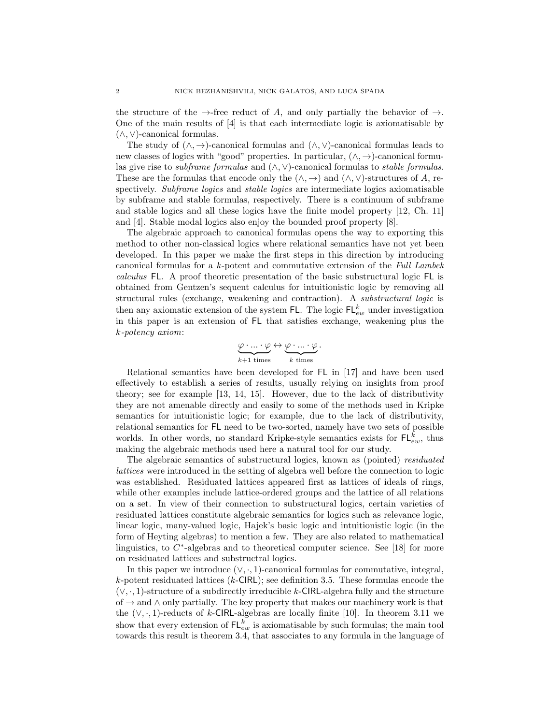the structure of the  $\rightarrow$ -free reduct of A, and only partially the behavior of  $\rightarrow$ . One of the main results of [\[4\]](#page-18-5) is that each intermediate logic is axiomatisable by (∧, ∨)-canonical formulas.

The study of  $(\wedge, \rightarrow)$ -canonical formulas and  $(\wedge, \vee)$ -canonical formulas leads to new classes of logics with "good" properties. In particular,  $(\wedge, \rightarrow)$ -canonical formulas give rise to *subframe formulas* and  $(\wedge, \vee)$ -canonical formulas to *stable formulas*. These are the formulas that encode only the  $(\wedge, \rightarrow)$  and  $(\wedge, \vee)$ -structures of A, respectively. Subframe logics and stable logics are intermediate logics axiomatisable by subframe and stable formulas, respectively. There is a continuum of subframe and stable logics and all these logics have the finite model property [\[12,](#page-18-0) Ch. 11] and [\[4\]](#page-18-5). Stable modal logics also enjoy the bounded proof property [\[8\]](#page-18-6).

The algebraic approach to canonical formulas opens the way to exporting this method to other non-classical logics where relational semantics have not yet been developed. In this paper we make the first steps in this direction by introducing canonical formulas for a k-potent and commutative extension of the Full Lambek calculus FL. A proof theoretic presentation of the basic substructural logic FL is obtained from Gentzen's sequent calculus for intuitionistic logic by removing all structural rules (exchange, weakening and contraction). A substructural logic is then any axiomatic extension of the system FL. The logic  $FL_{ew}^k$  under investigation in this paper is an extension of FL that satisfies exchange, weakening plus the k-potency axiom:

$$
\underbrace{\varphi\cdot\ldots\cdot\varphi\leftrightarrow\varphi\cdot\ldots\cdot\varphi}_{k\text{ times}}.
$$

Relational semantics have been developed for FL in [\[17\]](#page-18-7) and have been used effectively to establish a series of results, usually relying on insights from proof theory; see for example [\[13,](#page-18-8) [14,](#page-18-9) [15\]](#page-18-10). However, due to the lack of distributivity they are not amenable directly and easily to some of the methods used in Kripke semantics for intuitionistic logic; for example, due to the lack of distributivity, relational semantics for FL need to be two-sorted, namely have two sets of possible worlds. In other words, no standard Kripke-style semantics exists for  $\mathsf{FL}_{ew}^k$ , thus making the algebraic methods used here a natural tool for our study.

The algebraic semantics of substructural logics, known as (pointed) residuated lattices were introduced in the setting of algebra well before the connection to logic was established. Residuated lattices appeared first as lattices of ideals of rings, while other examples include lattice-ordered groups and the lattice of all relations on a set. In view of their connection to substructural logics, certain varieties of residuated lattices constitute algebraic semantics for logics such as relevance logic, linear logic, many-valued logic, Hajek's basic logic and intuitionistic logic (in the form of Heyting algebras) to mention a few. They are also related to mathematical linguistics, to  $C^*$ -algebras and to theoretical computer science. See [\[18\]](#page-18-11) for more on residuated lattices and substructral logics.

In this paper we introduce  $(\vee, \cdot, 1)$ -canonical formulas for commutative, integral,  $k$ -potent residuated lattices  $(k$ -CIRL); see definition [3.5.](#page-7-0) These formulas encode the  $(\vee, \cdot, 1)$ -structure of a subdirectly irreducible k-CIRL-algebra fully and the structure of  $\rightarrow$  and  $\land$  only partially. The key property that makes our machinery work is that the  $(\vee, \cdot, 1)$ -reducts of k-CIRL-algebras are locally finite [\[10\]](#page-18-12). In theorem [3.11](#page-10-0) we show that every extension of  $\mathsf{FL}^k_{ew}$  is axiomatisable by such formulas; the main tool towards this result is theorem [3.4,](#page-7-1) that associates to any formula in the language of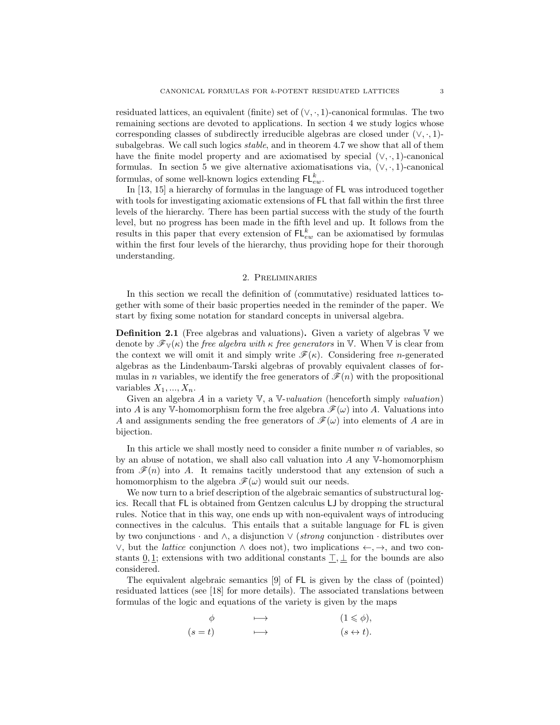residuated lattices, an equivalent (finite) set of  $(\vee, \cdot, 1)$ -canonical formulas. The two remaining sections are devoted to applications. In section [4](#page-11-0) we study logics whose corresponding classes of subdirectly irreducible algebras are closed under  $(\vee, \cdot, 1)$ subalgebras. We call such logics stable, and in theorem [4.7](#page-13-0) we show that all of them have the finite model property and are axiomatised by special  $(\vee, \cdot, 1)$ -canonical formulas. In section [5](#page-15-0) we give alternative axiomatisations via,  $(\vee, \cdot, 1)$ -canonical formulas, of some well-known logics extending  $\mathsf{FL}_{ew}^k$ .

In [\[13,](#page-18-8) [15\]](#page-18-10) a hierarchy of formulas in the language of FL was introduced together with tools for investigating axiomatic extensions of FL that fall within the first three levels of the hierarchy. There has been partial success with the study of the fourth level, but no progress has been made in the fifth level and up. It follows from the results in this paper that every extension of  $FL_{ew}^k$  can be axiomatised by formulas within the first four levels of the hierarchy, thus providing hope for their thorough understanding.

### 2. Preliminaries

In this section we recall the definition of (commutative) residuated lattices together with some of their basic properties needed in the reminder of the paper. We start by fixing some notation for standard concepts in universal algebra.

**Definition 2.1** (Free algebras and valuations). Given a variety of algebras  $V$  we denote by  $\mathscr{F}_{V}(\kappa)$  the free algebra with  $\kappa$  free generators in V. When V is clear from the context we will omit it and simply write  $\mathscr{F}(\kappa)$ . Considering free *n*-generated algebras as the Lindenbaum-Tarski algebras of provably equivalent classes of formulas in n variables, we identify the free generators of  $\mathscr{F}(n)$  with the propositional variables  $X_1, ..., X_n$ .

Given an algebra A in a variety  $V$ , a  $V-valueation$  (henceforth simply valuation) into A is any V-homomorphism form the free algebra  $\mathscr{F}(\omega)$  into A. Valuations into A and assignments sending the free generators of  $\mathscr{F}(\omega)$  into elements of A are in bijection.

In this article we shall mostly need to consider a finite number  $n$  of variables, so by an abuse of notation, we shall also call valuation into A any V-homomorphism from  $\mathcal{F}(n)$  into A. It remains tacitly understood that any extension of such a homomorphism to the algebra  $\mathscr{F}(\omega)$  would suit our needs.

We now turn to a brief description of the algebraic semantics of substructural logics. Recall that FL is obtained from Gentzen calculus LJ by dropping the structural rules. Notice that in this way, one ends up with non-equivalent ways of introducing connectives in the calculus. This entails that a suitable language for FL is given by two conjunctions  $\cdot$  and  $\wedge$ , a disjunction  $\vee$  (strong conjunction  $\cdot$  distributes over  $\vee$ , but the *lattice* conjunction ∧ does not), two implications  $\leftarrow$ ,  $\rightarrow$ , and two constants  $\underline{0}, \underline{1}$ ; extensions with two additional constants  $\underline{\top}, \underline{\bot}$  for the bounds are also considered.

The equivalent algebraic semantics [\[9\]](#page-18-13) of FL is given by the class of (pointed) residuated lattices (see [\[18\]](#page-18-11) for more details). The associated translations between formulas of the logic and equations of the variety is given by the maps

$$
\phi \qquad \longrightarrow \qquad (1 \leq \phi),
$$
  
\n
$$
(s = t) \qquad \longrightarrow \qquad (s \leftrightarrow t).
$$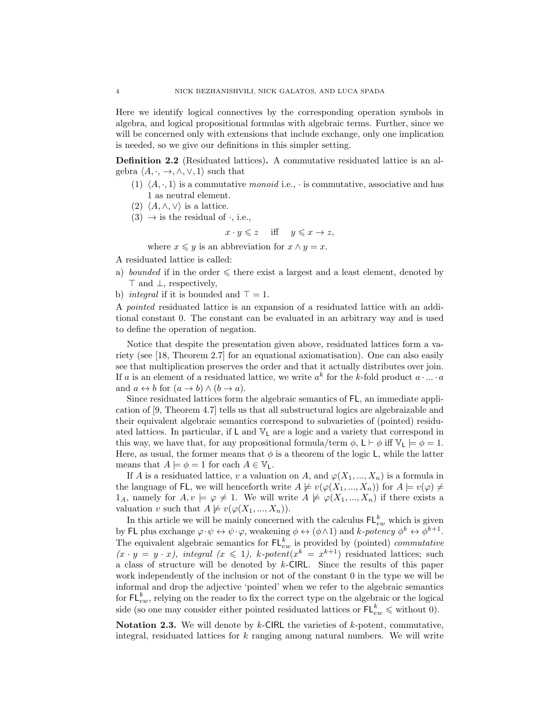Here we identify logical connectives by the corresponding operation symbols in algebra, and logical propositional formulas with algebraic terms. Further, since we will be concerned only with extensions that include exchange, only one implication is needed, so we give our definitions in this simpler setting.

Definition 2.2 (Residuated lattices). A commutative residuated lattice is an algebra  $\langle A, \cdot, \to, \wedge, \vee, 1 \rangle$  such that

- (1)  $\langle A, \cdot, 1 \rangle$  is a commutative monoid i.e.,  $\cdot$  is commutative, associative and has 1 as neutral element.
- (2)  $\langle A, \wedge, \vee \rangle$  is a lattice.
- $(3) \rightarrow$  is the residual of  $\cdot$ , i.e.,

$$
x \cdot y \leqslant z \quad \text{ iff } \quad y \leqslant x \to z,
$$

where  $x \leq y$  is an abbreviation for  $x \wedge y = x$ .

A residuated lattice is called:

- a) bounded if in the order  $\leq$  there exist a largest and a least element, denoted by > and ⊥, respectively,
- b) *integral* if it is bounded and  $\top = 1$ .

A pointed residuated lattice is an expansion of a residuated lattice with an additional constant 0. The constant can be evaluated in an arbitrary way and is used to define the operation of negation.

Notice that despite the presentation given above, residuated lattices form a variety (see [\[18,](#page-18-11) Theorem 2.7] for an equational axiomatisation). One can also easily see that multiplication preserves the order and that it actually distributes over join. If a is an element of a residuated lattice, we write  $a^k$  for the k-fold product  $a \cdot ... \cdot a$ and  $a \leftrightarrow b$  for  $(a \to b) \land (b \to a)$ .

Since residuated lattices form the algebraic semantics of FL, an immediate application of [\[9,](#page-18-13) Theorem 4.7] tells us that all substructural logics are algebraizable and their equivalent algebraic semantics correspond to subvarieties of (pointed) residuated lattices. In particular, if  $\mathsf{L}$  and  $\mathbb{V}_{\mathsf{L}}$  are a logic and a variety that correspond in this way, we have that, for any propositional formula/term  $\phi$ ,  $\mathsf{L} \vdash \phi$  iff  $\mathbb{V}_{\mathsf{L}} \models \phi = 1$ . Here, as usual, the former means that  $\phi$  is a theorem of the logic L, while the latter means that  $A \models \phi = 1$  for each  $A \in \mathbb{V}_\mathsf{L}$ .

If A is a residuated lattice, v a valuation on A, and  $\varphi(X_1, ..., X_n)$  is a formula in the language of FL, we will henceforth write  $A \not\models v(\varphi(X_1, ..., X_n))$  for  $A \models v(\varphi) \neq \emptyset$  $1_A$ , namely for  $A, v \models \varphi \neq 1$ . We will write  $A \not\models \varphi(X_1, ..., X_n)$  if there exists a valuation v such that  $A \not\models v(\varphi(X_1, ..., X_n)).$ 

In this article we will be mainly concerned with the calculus  $\mathsf{FL}^k_{ew}$  which is given by FL plus exchange  $\varphi \cdot \psi \leftrightarrow \psi \cdot \varphi$ , weakening  $\phi \leftrightarrow (\phi \wedge 1)$  and  $k$ -potency  $\phi^k \leftrightarrow \phi^{k+1}$ . The equivalent algebraic semantics for  $\mathsf{FL}_{ew}^k$  is provided by (pointed) *commutative*  $(x \cdot y = y \cdot x)$ , integral  $(x \le 1)$ , k-potent $(x^k = x^{k+1})$  residuated lattices; such a class of structure will be denoted by k-CIRL. Since the results of this paper work independently of the inclusion or not of the constant 0 in the type we will be informal and drop the adjective 'pointed' when we refer to the algebraic semantics for  $\mathsf{FL}^k_{ew}$ , relying on the reader to fix the correct type on the algebraic or the logical side (so one may consider either pointed residuated lattices or  $\mathsf{FL}_{ew}^k \leqslant$  without 0).

**Notation 2.3.** We will denote by k-CIRL the varieties of k-potent, commutative, integral, residuated lattices for  $k$  ranging among natural numbers. We will write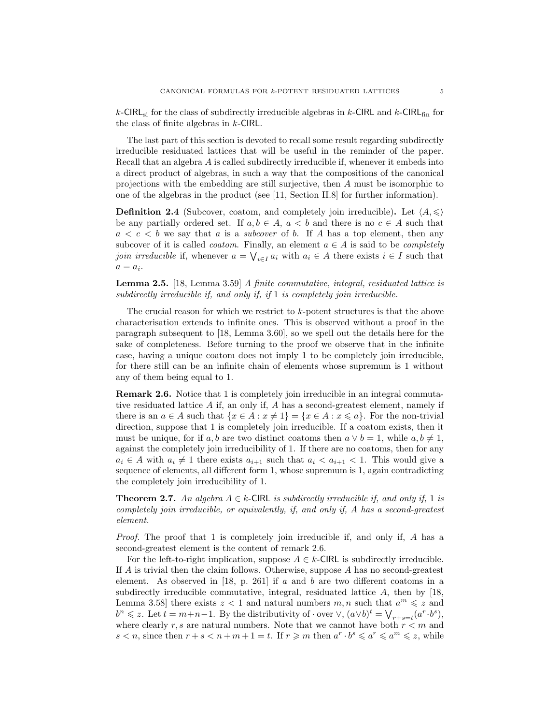k-CIRL<sub>si</sub> for the class of subdirectly irreducible algebras in k-CIRL and k-CIRL<sub>fin</sub> for the class of finite algebras in k-CIRL.

The last part of this section is devoted to recall some result regarding subdirectly irreducible residuated lattices that will be useful in the reminder of the paper. Recall that an algebra A is called subdirectly irreducible if, whenever it embeds into a direct product of algebras, in such a way that the compositions of the canonical projections with the embedding are still surjective, then A must be isomorphic to one of the algebras in the product (see [\[11,](#page-18-14) Section II.8] for further information).

**Definition 2.4** (Subcover, coatom, and completely join irreducible). Let  $\langle A, \leqslant \rangle$ be any partially ordered set. If  $a, b \in A$ ,  $a < b$  and there is no  $c \in A$  such that  $a < c < b$  we say that a is a *subcover* of b. If A has a top element, then any subcover of it is called *coatom*. Finally, an element  $a \in A$  is said to be *completely* join irreducible if, whenever  $a = \bigvee_{i \in I} a_i$  with  $a_i \in A$  there exists  $i \in I$  such that  $a = a_i$ .

Lemma 2.5. [\[18,](#page-18-11) Lemma 3.59] A finite commutative, integral, residuated lattice is subdirectly irreducible if, and only if, if 1 is completely join irreducible.

The crucial reason for which we restrict to k-potent structures is that the above characterisation extends to infinite ones. This is observed without a proof in the paragraph subsequent to [\[18,](#page-18-11) Lemma 3.60], so we spell out the details here for the sake of completeness. Before turning to the proof we observe that in the infinite case, having a unique coatom does not imply 1 to be completely join irreducible, for there still can be an infinite chain of elements whose supremum is 1 without any of them being equal to 1.

<span id="page-4-0"></span>Remark 2.6. Notice that 1 is completely join irreducible in an integral commutative residuated lattice  $A$  if, an only if,  $A$  has a second-greatest element, namely if there is an  $a \in A$  such that  $\{x \in A : x \neq 1\} = \{x \in A : x \leq a\}$ . For the non-trivial direction, suppose that 1 is completely join irreducible. If a coatom exists, then it must be unique, for if a, b are two distinct coatoms then  $a \vee b = 1$ , while  $a, b \neq 1$ , against the completely join irreducibility of 1. If there are no coatoms, then for any  $a_i \in A$  with  $a_i \neq 1$  there exists  $a_{i+1}$  such that  $a_i < a_{i+1} < 1$ . This would give a sequence of elements, all different form 1, whose supremum is 1, again contradicting the completely join irreducibility of 1.

<span id="page-4-1"></span>**Theorem 2.7.** An algebra  $A \in k$ -CIRL is subdirectly irreducible if, and only if, 1 is completely join irreducible, or equivalently, if, and only if, A has a second-greatest element.

Proof. The proof that 1 is completely join irreducible if, and only if, A has a second-greatest element is the content of remark [2.6.](#page-4-0)

For the left-to-right implication, suppose  $A \in k$ -CIRL is subdirectly irreducible. If A is trivial then the claim follows. Otherwise, suppose A has no second-greatest element. As observed in [\[18,](#page-18-11) p. 261] if a and b are two different coatoms in a subdirectly irreducible commutative, integral, residuated lattice A, then by [\[18,](#page-18-11) Lemma 3.58 there exists  $z < 1$  and natural numbers  $m, n$  such that  $a^m \leqslant z$  and  $b^n \leqslant z$ . Let  $t = m+n-1$ . By the distributivity of  $\cdot$  over  $\vee$ ,  $(a \vee b)^t = \bigvee_{r+s=t} (a^r \cdot b^s)$ , where clearly r, s are natural numbers. Note that we cannot have both  $r < m$  and  $s < n$ , since then  $r + s < n + m + 1 = t$ . If  $r \geq m$  then  $a^r \cdot b^s \leq a^r \leq a^m \leq z$ , while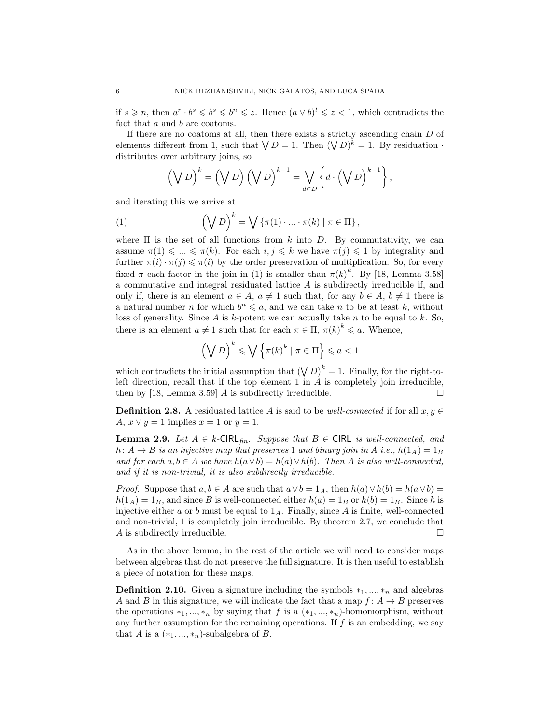if  $s \geq n$ , then  $a^r \cdot b^s \leq b^s \leq b^n \leq z$ . Hence  $(a \vee b)^t \leq z \leq 1$ , which contradicts the fact that a and b are coatoms.

If there are no coatoms at all, then there exists a strictly ascending chain  $D$  of elements different from 1, such that  $\bigvee D = 1$ . Then  $(\bigvee D)^k = 1$ . By residuation  $\cdot$ distributes over arbitrary joins, so

<span id="page-5-0"></span>
$$
\left(\bigvee D\right)^{k} = \left(\bigvee D\right)\left(\bigvee D\right)^{k-1} = \bigvee_{d \in D} \left\{ d \cdot \left(\bigvee D\right)^{k-1} \right\},\
$$

and iterating this we arrive at

(1) 
$$
\left(\bigvee D\right)^k = \bigvee \left\{\pi(1) \cdot \ldots \cdot \pi(k) \mid \pi \in \Pi\right\},\
$$

where  $\Pi$  is the set of all functions from k into D. By commutativity, we can assume  $\pi(1) \leq \ldots \leq \pi(k)$ . For each  $i, j \leq k$  we have  $\pi(j) \leq 1$  by integrality and further  $\pi(i) \cdot \pi(j) \leq \pi(i)$  by the order preservation of multiplication. So, for every fixed  $\pi$  each factor in the join in [\(1\)](#page-5-0) is smaller than  $\pi(k)^k$ . By [\[18,](#page-18-11) Lemma 3.58] a commutative and integral residuated lattice  $A$  is subdirectly irreducible if, and only if, there is an element  $a \in A$ ,  $a \neq 1$  such that, for any  $b \in A$ ,  $b \neq 1$  there is a natural number *n* for which  $b^n \leq a$ , and we can take *n* to be at least *k*, without loss of generality. Since  $A$  is  $k$ -potent we can actually take  $n$  to be equal to  $k$ . So, there is an element  $a \neq 1$  such that for each  $\pi \in \Pi$ ,  $\pi(k)^k \leq a$ . Whence,

$$
\left(\bigvee D\right)^k \leqslant \bigvee \left\{\pi(k)^k \mid \pi \in \Pi\right\} \leqslant a < 1
$$

which contradicts the initial assumption that  $(\bigvee D)^k = 1$ . Finally, for the right-toleft direction, recall that if the top element  $1$  in  $A$  is completely join irreducible, then by [\[18,](#page-18-11) Lemma 3.59] A is subdirectly irreducible.  $\Box$ 

**Definition 2.8.** A residuated lattice A is said to be well-connected if for all  $x, y \in$ A,  $x \vee y = 1$  implies  $x = 1$  or  $y = 1$ .

<span id="page-5-1"></span>**Lemma 2.9.** Let  $A \in k$ -CIRL $_{fin.}$  Suppose that  $B \in CIRL$  is well-connected, and h:  $A \rightarrow B$  is an injective map that preserves 1 and binary join in A i.e.,  $h(1_A) = 1_B$ and for each  $a, b \in A$  we have  $h(a \vee b) = h(a) \vee h(b)$ . Then A is also well-connected, and if it is non-trivial, it is also subdirectly irreducible.

*Proof.* Suppose that  $a, b \in A$  are such that  $a \vee b = 1_A$ , then  $h(a) \vee h(b) = h(a \vee b) =$  $h(1_A) = 1_B$ , and since B is well-connected either  $h(a) = 1_B$  or  $h(b) = 1_B$ . Since h is injective either a or b must be equal to  $1_A$ . Finally, since A is finite, well-connected and non-trivial, 1 is completely join irreducible. By theorem [2.7,](#page-4-1) we conclude that A is subdirectly irreducible.  $\Box$ 

As in the above lemma, in the rest of the article we will need to consider maps between algebras that do not preserve the full signature. It is then useful to establish a piece of notation for these maps.

**Definition 2.10.** Given a signature including the symbols  $*_{1},...,*_{n}$  and algebras A and B in this signature, we will indicate the fact that a map  $f: A \rightarrow B$  preserves the operations  $*_1, ..., *_n$  by saying that f is a  $(*_1, ..., *_n)$ -homomorphism, without any further assumption for the remaining operations. If  $f$  is an embedding, we say that A is a  $(*_1, ..., *_n)$ -subalgebra of B.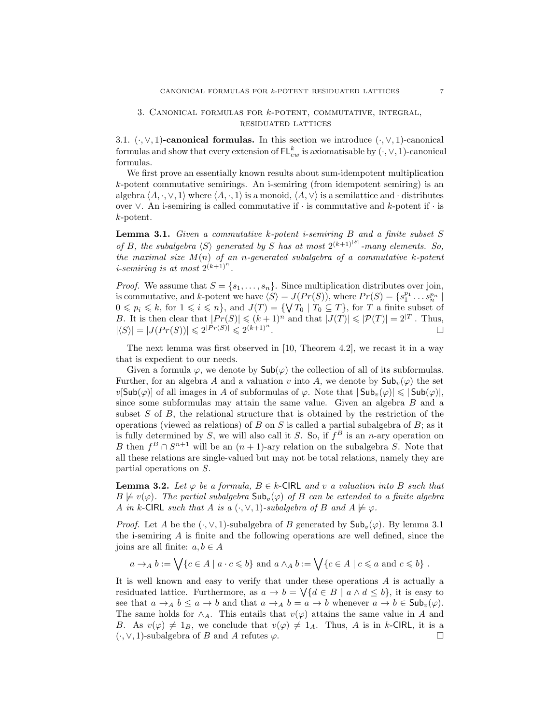### 3. Canonical formulas for k-potent, commutative, integral, residuated lattices

3.1.  $(\cdot, \vee, 1)$ -canonical formulas. In this section we introduce  $(\cdot, \vee, 1)$ -canonical formulas and show that every extension of  $\mathsf{FL}^k_{ew}$  is axiomatisable by  $(\cdot, \vee, 1)$ -canonical formulas.

We first prove an essentially known results about sum-idempotent multiplication k-potent commutative semirings. An i-semiring (from idempotent semiring) is an algebra  $\langle A, \cdot, \vee, 1 \rangle$  where  $\langle A, \cdot, 1 \rangle$  is a monoid,  $\langle A, \vee \rangle$  is a semilattice and · distributes over ∨. An i-semiring is called commutative if · is commutative and k-potent if · is k-potent.

<span id="page-6-0"></span>**Lemma 3.1.** Given a commutative  $k$ -potent *i*-semiring  $B$  and a finite subset  $S$ of B, the subalgebra  $\langle S \rangle$  generated by S has at most  $2^{(k+1)^{|S|}}$ -many elements. So, the maximal size  $M(n)$  of an n-generated subalgebra of a commutative k-potent *i*-semiring is at most  $2^{(k+1)^n}$ .

*Proof.* We assume that  $S = \{s_1, \ldots, s_n\}$ . Since multiplication distributes over join, is commutative, and k-potent we have  $\langle S \rangle = J(Pr(S))$ , where  $Pr(S) = \{s_1^{p_1} \dots s_n^{p_n} \mid$  $0 \leqslant p_i \leqslant k$ , for  $1 \leqslant i \leqslant n$ , and  $J(T) = \{ \n \sqrt{T_0} \mid T_0 \subseteq T \}$ , for T a finite subset of B. It is then clear that  $|Pr(S)| \leq (k+1)^n$  and that  $|J(T)| \leq |P(T)| = 2^{|T|}$ . Thus,  $|\langle S \rangle| = |J(Pr(S))| \leq 2^{|Pr(S)|} \leq 2^{(k+1)^n}$ .

The next lemma was first observed in [\[10,](#page-18-12) Theorem 4.2], we recast it in a way that is expedient to our needs.

Given a formula  $\varphi$ , we denote by  $\mathsf{Sub}(\varphi)$  the collection of all of its subformulas. Further, for an algebra A and a valuation v into A, we denote by  $\mathsf{Sub}_v(\varphi)$  the set  $v[\mathsf{Sub}(\varphi)]$  of all images in A of subformulas of  $\varphi$ . Note that  $|\mathsf{Sub}_{\eta}(\varphi)| \leq |\mathsf{Sub}(\varphi)|$ , since some subformulas may attain the same value. Given an algebra B and a subset  $S$  of  $B$ , the relational structure that is obtained by the restriction of the operations (viewed as relations) of B on S is called a partial subalgebra of B; as it is fully determined by S, we will also call it S. So, if  $f^B$  is an *n*-ary operation on B then  $f^B \cap S^{n+1}$  will be an  $(n+1)$ -ary relation on the subalgebra S. Note that all these relations are single-valued but may not be total relations, namely they are partial operations on S.

<span id="page-6-1"></span>**Lemma 3.2.** Let  $\varphi$  be a formula,  $B \in k$ -CIRL and v a valuation into B such that  $B \not\models v(\varphi)$ . The partial subalgebra  $\mathsf{Sub}_v(\varphi)$  of B can be extended to a finite algebra A in k-CIRL such that A is a  $(\cdot, \vee, 1)$ -subalgebra of B and  $A \not\models \varphi$ .

*Proof.* Let A be the  $(\cdot, \vee, 1)$ -subalgebra of B generated by  $\mathsf{Sub}_v(\varphi)$ . By lemma [3.1](#page-6-0) the i-semiring A is finite and the following operations are well defined, since the joins are all finite:  $a, b \in A$ 

$$
a \to_A b := \bigvee \{c \in A \mid a \cdot c \leq b\}
$$
 and  $a \wedge_A b := \bigvee \{c \in A \mid c \leq a \text{ and } c \leq b\}$ .

It is well known and easy to verify that under these operations A is actually a residuated lattice. Furthermore, as  $a \to b = \sqrt{\{d \in B \mid a \wedge d \le b\}}$ , it is easy to see that  $a \to_A b \leq a \to b$  and that  $a \to_A b = a \to b$  whenever  $a \to b \in Sub_v(\varphi)$ . The same holds for  $\wedge_A$ . This entails that  $v(\varphi)$  attains the same value in A and B. As  $v(\varphi) \neq 1_B$ , we conclude that  $v(\varphi) \neq 1_A$ . Thus, A is in k-CIRL, it is a  $(\cdot, \vee, 1)$ -subalgebra of B and A refutes  $\varphi$ .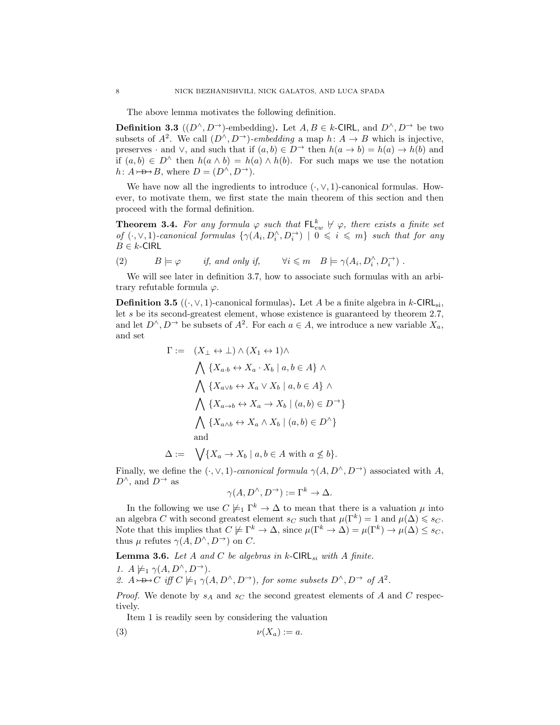The above lemma motivates the following definition.

**Definition 3.3**  $((D^{\wedge}, D^{\rightarrow})$ -embedding). Let  $A, B \in k$ -CIRL, and  $D^{\wedge}, D^{\rightarrow}$  be two subsets of  $A^2$ . We call  $(D^{\wedge}, D^{\rightarrow})$ -embedding a map  $h: A \rightarrow B$  which is injective, preserves · and  $\vee$ , and such that if  $(a, b) \in D^{\rightarrow}$  then  $h(a \rightarrow b) = h(a) \rightarrow h(b)$  and if  $(a, b) \in D^{\wedge}$  then  $h(a \wedge b) = h(a) \wedge h(b)$ . For such maps we use the notation  $h: A \rightarrow B$ , where  $D = (D^{\wedge}, D^{\rightarrow}).$ 

We have now all the ingredients to introduce  $(\cdot, \vee, 1)$ -canonical formulas. However, to motivate them, we first state the main theorem of this section and then proceed with the formal definition.

<span id="page-7-1"></span>**Theorem 3.4.** For any formula  $\varphi$  such that  $\mathsf{FL}_{ew}^k \not\vdash \varphi$ , there exists a finite set of  $(\cdot, \vee, 1)$ -canonical formulas  $\{\gamma(A_i, D_i \wedge D_i \rightarrow) \mid 0 \leq i \leq m\}$  such that for any  $B \in k$ -CIRL

<span id="page-7-4"></span>(2) 
$$
B \models \varphi
$$
 if, and only if,  $\forall i \leq m \quad B \models \gamma(A_i, D_i^{\wedge}, D_i^{\rightarrow})$ .

We will see later in definition [3.7,](#page-8-0) how to associate such formulas with an arbitrary refutable formula  $\varphi$ .

<span id="page-7-0"></span>**Definition 3.5** ( $(\cdot, \vee, 1)$ -canonical formulas). Let A be a finite algebra in k-CIRL<sub>si</sub>, let s be its second-greatest element, whose existence is guaranteed by theorem [2.7,](#page-4-1) and let  $D^{\wedge}, D^{\rightarrow}$  be subsets of  $A^2$ . For each  $a \in A$ , we introduce a new variable  $X_a$ , and set

$$
\Gamma := (X_{\perp} \leftrightarrow \perp) \land (X_1 \leftrightarrow 1) \land
$$
\n
$$
\bigwedge \{X_{a \cdot b} \leftrightarrow X_a \cdot X_b \mid a, b \in A\} \land
$$
\n
$$
\bigwedge \{X_{a \lor b} \leftrightarrow X_a \lor X_b \mid a, b \in A\} \land
$$
\n
$$
\bigwedge \{X_{a \to b} \leftrightarrow X_a \to X_b \mid (a, b) \in D^{\to}\}
$$
\n
$$
\bigwedge \{X_{a \land b} \leftrightarrow X_a \land X_b \mid (a, b) \in D^{\land}\}
$$
\nand

 $\Delta := \bigvee \{X_a \to X_b \mid a, b \in A \text{ with } a \nleq b\}.$ 

Finally, we define the  $(\cdot, \vee, 1)$ -canonical formula  $\gamma(A, D^{\wedge}, D^{\rightarrow})$  associated with A,  $D^{\wedge}$ , and  $D^{\rightarrow}$  as

$$
\gamma(A, D^{\wedge}, D^{\rightarrow}) := \Gamma^k \rightarrow \Delta.
$$

In the following we use  $C \not\models_{1} \Gamma^{k} \to \Delta$  to mean that there is a valuation  $\mu$  into an algebra C with second greatest element  $s_C$  such that  $\mu(\Gamma^k) = 1$  and  $\mu(\Delta) \leq s_C$ . Note that this implies that  $C \not\models \Gamma^k \to \Delta$ , since  $\mu(\Gamma^k \to \Delta) = \mu(\Gamma^k) \to \mu(\Delta) \leq s_C$ , thus  $\mu$  refutes  $\gamma(A, D^{\wedge}, D^{\rightarrow})$  on C.

<span id="page-7-5"></span><span id="page-7-2"></span>**Lemma 3.6.** Let A and C be algebras in k-CIRL<sub>si</sub> with A finite. 1.  $A \not\models_1 \gamma(A, D^{\wedge}, D^{\rightarrow}).$ 

<span id="page-7-3"></span>2.  $A \rightarrow B \rightarrow C$  iff  $C \not\models_1 \gamma(A, D^{\wedge}, D^{\rightarrow})$ , for some subsets  $D^{\wedge}, D^{\rightarrow}$  of  $A^2$ .

*Proof.* We denote by  $s_A$  and  $s_C$  the second greatest elements of A and C respectively.

Item [1](#page-7-2) is readily seen by considering the valuation

$$
(3) \t\t\t\nu(X_a) := a.
$$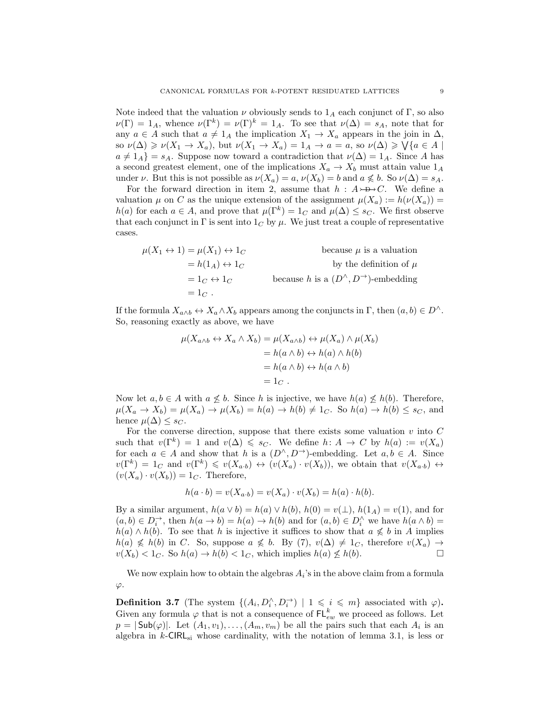Note indeed that the valuation  $\nu$  obviously sends to  $1_A$  each conjunct of Γ, so also  $\nu(\Gamma) = 1_A$ , whence  $\nu(\Gamma^k) = \nu(\Gamma)^k = 1_A$ . To see that  $\nu(\Delta) = s_A$ , note that for any  $a \in A$  such that  $a \neq 1_A$  the implication  $X_1 \to X_a$  appears in the join in  $\Delta$ , so  $\nu(\Delta) \geq \nu(X_1 \to X_a)$ , but  $\nu(X_1 \to X_a) = 1_A \to a = a$ , so  $\nu(\Delta) \geq \sqrt{a \in A}$  $a \neq 1_A$  =  $s_A$ . Suppose now toward a contradiction that  $\nu(\Delta) = 1_A$ . Since A has a second greatest element, one of the implications  $X_a \to X_b$  must attain value  $1_A$ under  $\nu$ . But this is not possible as  $\nu(X_a) = a$ ,  $\nu(X_b) = b$  and  $a \nleq b$ . So  $\nu(\Delta) = s_A$ .

For the forward direction in item [2,](#page-7-3) assume that  $h : A \rightarrow D \rightarrow C$ . We define a valuation  $\mu$  on C as the unique extension of the assignment  $\mu(X_a) := h(\nu(X_a)) =$  $h(a)$  for each  $a \in A$ , and prove that  $\mu(\Gamma^k) = 1_C$  and  $\mu(\Delta) \leq s_C$ . We first observe that each conjunct in  $\Gamma$  is sent into  $1_C$  by  $\mu$ . We just treat a couple of representative cases.

$$
\mu(X_1 \leftrightarrow 1) = \mu(X_1) \leftrightarrow 1_C
$$
 because  $\mu$  is a valuation  
\n
$$
= h(1_A) \leftrightarrow 1_C
$$
 because  $h$  is a relation  
\nby the definition of  $\mu$   
\n
$$
= 1_C \leftrightarrow 1_C
$$
 because  $h$  is a  $(D^{\wedge}, D^{\rightarrow})$ -embedding  
\n
$$
= 1_C.
$$

If the formula  $X_{a\wedge b} \leftrightarrow X_a \wedge X_b$  appears among the conjuncts in  $\Gamma$ , then  $(a, b) \in D^{\wedge}$ . So, reasoning exactly as above, we have

$$
\mu(X_{a \wedge b} \leftrightarrow X_a \wedge X_b) = \mu(X_{a \wedge b}) \leftrightarrow \mu(X_a) \wedge \mu(X_b)
$$
  
=  $h(a \wedge b) \leftrightarrow h(a) \wedge h(b)$   
=  $h(a \wedge b) \leftrightarrow h(a \wedge b)$   
=  $1_C$ .

Now let  $a, b \in A$  with  $a \not\leq b$ . Since h is injective, we have  $h(a) \not\leq h(b)$ . Therefore,  $\mu(X_a \to X_b) = \mu(X_a) \to \mu(X_b) = h(a) \to h(b) \neq 1_C$ . So  $h(a) \to h(b) \leq s_C$ , and hence  $\mu(\Delta) \leq s_C$ .

For the converse direction, suppose that there exists some valuation  $v$  into  $C$ such that  $v(\Gamma^k) = 1$  and  $v(\Delta) \leq s_C$ . We define  $h: A \to C$  by  $h(a) := v(X_a)$ for each  $a \in A$  and show that h is a  $(D^{\wedge}, D^{\rightarrow})$ -embedding. Let  $a, b \in A$ . Since  $v(\Gamma^k) = 1_C$  and  $v(\Gamma^k) \leq v(X_{a,b}) \leftrightarrow (v(X_a) \cdot v(X_b))$ , we obtain that  $v(X_{a,b}) \leftrightarrow$  $(v(X_a) \cdot v(X_b)) = 1_C$ . Therefore,

$$
h(a \cdot b) = v(X_{a \cdot b}) = v(X_a) \cdot v(X_b) = h(a) \cdot h(b).
$$

By a similar argument,  $h(a \vee b) = h(a) \vee h(b)$ ,  $h(0) = v(\perp)$ ,  $h(1_A) = v(1)$ , and for  $(a, b) \in D_i^{\rightarrow}$ , then  $h(a \to b) = h(a) \to h(b)$  and for  $(a, b) \in D_i^{\wedge}$  we have  $h(a \wedge b) =$  $h(a) \wedge h(b)$ . To see that h is injective it suffices to show that  $a \nleq b$  in A implies  $h(a) \nleq h(b)$  in C. So, suppose  $a \nleq b$ . By  $(7), v(\Delta) \neq 1_c$ , therefore  $v(X_a) \rightarrow$  $v(X_b) < 1_C$ . So  $h(a) \to h(b) < 1_C$ , which implies  $h(a) \not\leq h(b)$ .

We now explain how to obtain the algebras  $A_i$ 's in the above claim from a formula  $\varphi$ .

<span id="page-8-0"></span>**Definition 3.7** (The system  $\{(A_i, D_i^{\wedge}, D_i^{\rightarrow}) \mid 1 \leq i \leq m\}$  associated with  $\varphi$ ). Given any formula  $\varphi$  that is not a consequence of  $\mathsf{FL}^k_{ew}$  we proceed as follows. Let  $p = |\textsf{Sub}(\varphi)|$ . Let  $(A_1, v_1), \ldots, (A_m, v_m)$  be all the pairs such that each  $A_i$  is an algebra in  $k$ -CIRL<sub>si</sub> whose cardinality, with the notation of lemma [3.1,](#page-6-0) is less or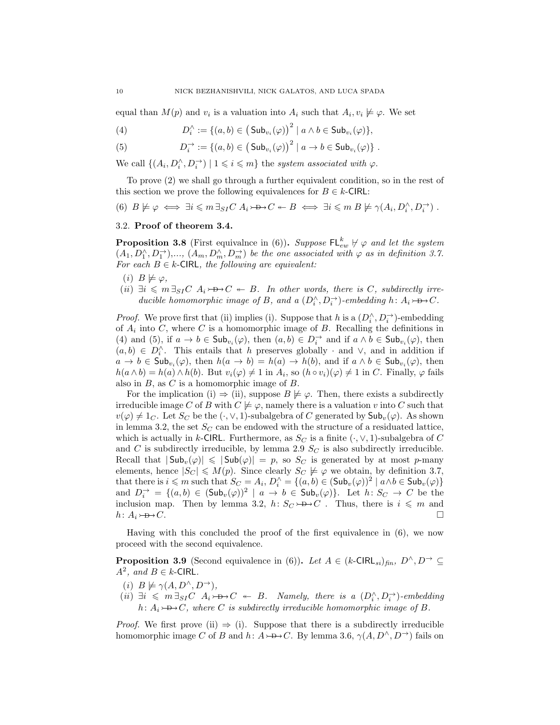equal than  $M(p)$  and  $v_i$  is a valuation into  $A_i$  such that  $A_i, v_i \not\models \varphi$ . We set

<span id="page-9-3"></span>(4) 
$$
D_i^{\wedge} := \{ (a,b) \in (\mathsf{Sub}_{v_i}(\varphi))^2 \mid a \wedge b \in \mathsf{Sub}_{v_i}(\varphi) \},
$$

<span id="page-9-4"></span>(5) 
$$
D_i^{\rightarrow} := \{(a,b) \in (\mathsf{Sub}_{v_i}(\varphi))^2 \mid a \to b \in \mathsf{Sub}_{v_i}(\varphi)\}.
$$

We call  $\{(A_i, D_i^{\wedge}, D_i^{\rightarrow}) \mid 1 \leq i \leq m\}$  the system associated with  $\varphi$ .

To prove [\(2\)](#page-7-4) we shall go through a further equivalent condition, so in the rest of this section we prove the following equivalences for  $B \in k$ -CIRL:

<span id="page-9-0"></span>(6)  $B \not\models \varphi \iff \exists i \leqslant m \exists_{SI} C \ A_i \rightarrow \rightarrow C \iff B \iff \exists i \leqslant m \ B \not\models \gamma(A_i, D_i^{\wedge}, D_i^{\rightarrow})$ .

## <span id="page-9-7"></span>3.2. Proof of theorem [3.4.](#page-7-1)

**Proposition 3.8** (First equivalnce in [\(6\)](#page-9-0)). Suppose  $\mathsf{FL}_{ew}^k \not\vdash \varphi$  and let the system  $(A_1, D_1^{\wedge}, D_1^{\rightarrow}), \ldots, (A_m, D_m^{\wedge}, D_m^{\rightarrow})$  be the one associated with  $\varphi$  as in definition [3.7.](#page-8-0) For each  $B \in k$ -CIRL, the following are equivalent:

- <span id="page-9-2"></span> $(i)$   $B \not\models \varphi$ ,
- <span id="page-9-1"></span>(ii)  $\exists i \leq m \exists_{SI} C \ A_i \rightarrow D \rightarrow C \ \leftarrow B$ . In other words, there is C, subdirectly irreducible homomorphic image of B, and a  $(D_i^{\wedge}, D_i^{\rightarrow})$ -embedding  $h: A_i \rightarrow B \rightarrow C$ .

*Proof.* We prove first that [\(ii\)](#page-9-1) implies [\(i\)](#page-9-2). Suppose that h is a  $(D_i^{\wedge}, D_i^{\rightarrow})$ -embedding of  $A_i$  into C, where C is a homomorphic image of B. Recalling the definitions in [\(4\)](#page-9-3) and [\(5\)](#page-9-4), if  $a \to b \in \mathsf{Sub}_{v_i}(\varphi)$ , then  $(a, b) \in D_i^{\to}$  and if  $a \wedge b \in \mathsf{Sub}_{v_i}(\varphi)$ , then  $(a, b)$  ∈  $D_i^{\wedge}$ . This entails that h preserves globally  $\cdot$  and  $\vee$ , and in addition if  $a \to b \in Sub_{v_i}(\varphi)$ , then  $h(a \to b) = h(a) \to h(b)$ , and if  $a \wedge b \in Sub_{v_i}(\varphi)$ , then  $h(a \wedge b) = h(a) \wedge h(b)$ . But  $v_i(\varphi) \neq 1$  in  $A_i$ , so  $(h \circ v_i)(\varphi) \neq 1$  in C. Finally,  $\varphi$  fails also in  $B$ , as  $C$  is a homomorphic image of  $B$ .

For the implication [\(i\)](#page-9-2)  $\Rightarrow$  [\(ii\)](#page-9-1), suppose  $B \not\models \varphi$ . Then, there exists a subdirectly irreducible image C of B with  $C \not\models \varphi$ , namely there is a valuation v into C such that  $v(\varphi) \neq 1_C$ . Let  $S_C$  be the  $(\cdot, \vee, 1)$ -subalgebra of C generated by  $\mathsf{Sub}_v(\varphi)$ . As shown in lemma [3.2,](#page-6-1) the set  $S_C$  can be endowed with the structure of a residuated lattice, which is actually in k-CIRL. Furthermore, as  $S_C$  is a finite  $(\cdot, \vee, 1)$ -subalgebra of C and  $C$  is subdirectly irreducible, by lemma [2.9](#page-5-1)  $S_C$  is also subdirectly irreducible. Recall that  $|\mathsf{Sub}_v(\varphi)| \leq |\mathsf{Sub}(\varphi)| = p$ , so  $S_C$  is generated by at most p-many elements, hence  $|S_C| \leq M(p)$ . Since clearly  $S_C \not\models \varphi$  we obtain, by definition [3.7,](#page-8-0) that there is  $i \leq m$  such that  $S_C = A_i$ ,  $D_i^{\wedge} = \{(a, b) \in (\mathsf{Sub}_v(\varphi))^2 \mid a \wedge b \in \mathsf{Sub}_v(\varphi)\}\$ and  $D_i^{\rightarrow} = \{(a, b) \in (\mathsf{Sub}_v(\varphi))^2 \mid a \to b \in \mathsf{Sub}_v(\varphi)\}.$  Let  $h \colon S_C \to C$  be the inclusion map. Then by lemma [3.2,](#page-6-1) h:  $S_C \rightarrow B \rightarrow C$ . Thus, there is  $i \leq m$  and  $h: A_i \rightarrow B \rightarrow C$ .

Having with this concluded the proof of the first equivalence in [\(6\)](#page-9-0), we now proceed with the second equivalence.

<span id="page-9-8"></span>**Proposition 3.9** (Second equivalence in [\(6\)](#page-9-0)). Let  $A \in (k\text{-CIR}_{si})_{fin}, D^{\wedge}, D^{\rightarrow} \subseteq$  $A^2$ , and  $B \in k$ -CIRL.

- <span id="page-9-6"></span>(i)  $B \not\models \gamma(A, D^{\wedge}, D^{\rightarrow}),$
- <span id="page-9-5"></span> $(ii) \exists i \leq m \exists_{SI} C \ A_i \rightarrow D \rightarrow C \ \leftarrow \ B.$  Namely, there is a  $(D_i^{\wedge}, D_i^{\rightarrow})$ -embedding h:  $A_i \rightarrow B \rightarrow C$ , where C is subdirectly irreducible homomorphic image of B.

*Proof.* We first prove [\(ii\)](#page-9-5)  $\Rightarrow$  [\(i\)](#page-9-6). Suppose that there is a subdirectly irreducible homomorphic image C of B and h:  $A \rightarrow B \rightarrow C$ . By lemma [3.6,](#page-7-5)  $\gamma(A, D^{\wedge}, D^{\rightarrow})$  fails on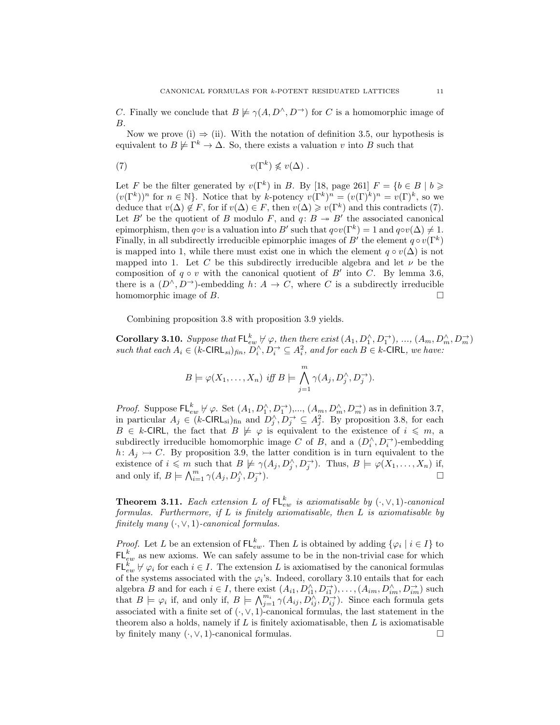C. Finally we conclude that  $B \not\models \gamma(A, D^{\wedge}, D^{\rightarrow})$  for C is a homomorphic image of B.

Now we prove [\(i\)](#page-9-6)  $\Rightarrow$  [\(ii\)](#page-9-5). With the notation of definition [3.5,](#page-7-0) our hypothesis is equivalent to  $B \not\models \Gamma^k \to \Delta$ . So, there exists a valuation v into B such that

<span id="page-10-1"></span>(7) 
$$
v(\Gamma^k) \nleq v(\Delta) .
$$

Let F be the filter generated by  $v(\Gamma^k)$  in B. By [\[18,](#page-18-11) page 261]  $F = \{b \in B \mid b \geq 0\}$  $(v(\Gamma^k))^n$  for  $n \in \mathbb{N}$ . Notice that by k-potency  $v(\Gamma^k)^n = (v(\Gamma)^k)^n = v(\Gamma)^k$ , so we deduce that  $v(\Delta) \notin F$ , for if  $v(\Delta) \in F$ , then  $v(\Delta) \geq v(\Gamma^k)$  and this contradicts [\(7\)](#page-10-1). Let B' be the quotient of B modulo F, and  $q: B \to B'$  the associated canonical epimorphism, then q⊙v is a valuation into B' such that  $q\circ v(\Gamma^k) = 1$  and  $q\circ v(\Delta) \neq 1$ . Finally, in all subdirectly irreducible epimorphic images of B' the element  $q \circ v(\Gamma^k)$ is mapped into 1, while there must exist one in which the element  $q \circ v(\Delta)$  is not mapped into 1. Let C be this subdirectly irreducible algebra and let  $\nu$  be the composition of  $q \circ v$  with the canonical quotient of B' into C. By lemma [3.6,](#page-7-5) there is a  $(D^{\wedge}, D^{\rightarrow})$ -embedding  $h: A \rightarrow C$ , where C is a subdirectly irreducible homomorphic image of  $B$ .

Combining proposition [3.8](#page-9-7) with proposition [3.9](#page-9-8) yields.

<span id="page-10-2"></span>**Corollary 3.10.** Suppose that  $\mathsf{FL}_{ew}^k \not\vdash \varphi$ , then there exist  $(A_1, D_1^\wedge, D_1^\rightarrow), ..., (A_m, D_m^\wedge, D_m^\rightarrow)$ such that each  $A_i \in (k\text{-CIRL}_{si})_{fin}, D_i^{\wedge}, D_i^{\rightarrow} \subseteq A_i^2$ , and for each  $B \in k\text{-CIRL}$ , we have:

$$
B \models \varphi(X_1,\ldots,X_n) \text{ iff } B \models \bigwedge_{j=1}^m \gamma(A_j, D_j^{\wedge}, D_j^{\rightarrow}).
$$

*Proof.* Suppose  $\mathsf{FL}_{ew}^k \not\vdash \varphi$ . Set  $(A_1, D_1^\wedge, D_1^\rightarrow)$ ,...,  $(A_m, D_m^\wedge, D_m^\rightarrow)$  as in definition [3.7,](#page-8-0) in particular  $A_j \in (k\text{-CIRL}_{\rm si})_{\rm fin}$  and  $D_j^{\wedge}, D_j^{\rightarrow} \subseteq A_j^2$ . By proposition [3.8,](#page-9-7) for each  $B \in k$ -CIRL, the fact that  $B \not\models \varphi$  is equivalent to the existence of  $i \leq m$ , a subdirectly irreducible homomorphic image C of B, and a  $(D_i^{\wedge}, D_i^{\rightarrow})$ -embedding  $h: A_j \rightarrow C$ . By proposition [3.9,](#page-9-8) the latter condition is in turn equivalent to the existence of  $i \leq m$  such that  $B \not\models \gamma(A_j, D_j^{\wedge}, D_j^{\rightarrow})$ . Thus,  $B \models \varphi(X_1, \ldots, X_n)$  if, and only if,  $B \models \bigwedge_{i=1}^{m} \gamma(A_j, D_j^{\wedge}, D_j^{\rightarrow})$ ). For  $\Box$ 

<span id="page-10-0"></span>**Theorem 3.11.** Each extension L of  $\mathsf{FL}_{ew}^k$  is axiomatisable by  $(\cdot, \vee, 1)$ -canonical formulas. Furthermore, if  $L$  is finitely axiomatisable, then  $L$  is axiomatisable by finitely many  $(·, ∨, 1)$ -canonical formulas.

*Proof.* Let L be an extension of  $FL_{ew}^k$ . Then L is obtained by adding  $\{\varphi_i \mid i \in I\}$  to  $\mathsf{FL}_{ew}^k$  as new axioms. We can safely assume to be in the non-trivial case for which  $\mathsf{FL}_{ew}^k \not\vdash \varphi_i$  for each  $i \in I$ . The extension L is axiomatised by the canonical formulas of the systems associated with the  $\varphi_i$ 's. Indeed, corollary [3.10](#page-10-2) entails that for each algebra B and for each  $i \in I$ , there exist  $(A_{i1}, D_{i1}^{\wedge}, D_{i1}^{\rightarrow}), \ldots, (A_{im}, D_{im}^{\wedge}, D_{im}^{\rightarrow})$  such that  $B \models \varphi_i$  if, and only if,  $B \models \bigwedge_{j=1}^{m_i} \gamma(A_{ij}, D_{ij}^{\wedge}, D_{ij}^{\rightarrow})$ . Since each formula gets associated with a finite set of  $(\cdot, \vee, 1)$ -canonical formulas, the last statement in the theorem also a holds, namely if  $L$  is finitely axiomatisable, then  $L$  is axiomatisable by finitely many  $(\cdot, \vee, 1)$ -canonical formulas.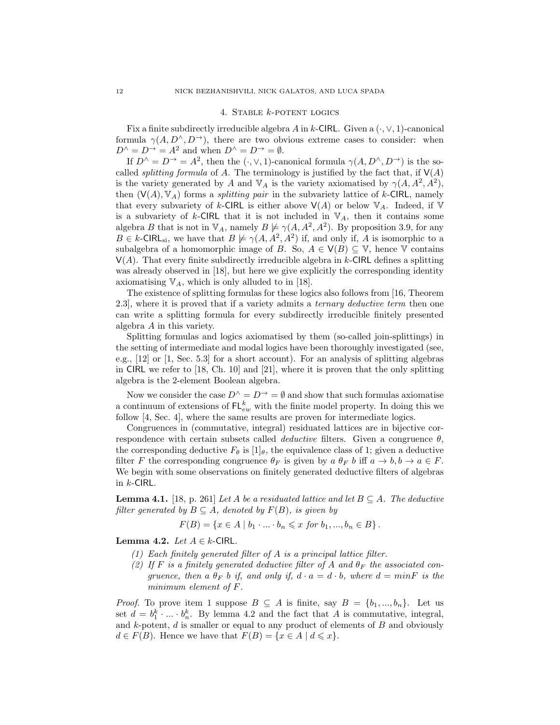### 4. STABLE  $k$ -POTENT LOGICS

<span id="page-11-0"></span>Fix a finite subdirectly irreducible algebra A in k-CIRL. Given a  $(\cdot, \vee, 1)$ -canonical formula  $\gamma(A, D^{\wedge}, D^{\rightarrow})$ , there are two obvious extreme cases to consider: when  $D^{\wedge} = D^{\rightarrow} = A^2$  and when  $D^{\wedge} = D^{\rightarrow} = \emptyset$ .

If  $D^{\wedge} = D^{\rightarrow} = A^2$ , then the  $(\cdot, \vee, 1)$ -canonical formula  $\gamma(A, D^{\wedge}, D^{\rightarrow})$  is the socalled *splitting formula* of A. The terminology is justified by the fact that, if  $V(A)$ is the variety generated by A and  $\mathbb{V}_A$  is the variety axiomatised by  $\gamma(A, A^2, A^2)$ , then  $(V(A), V_A)$  forms a *splitting pair* in the subvariety lattice of k-CIRL, namely that every subvariety of k-CIRL is either above  $\mathsf{V}(A)$  or below  $\mathbb{V}_A$ . Indeed, if  $\mathbb {V}$ is a subvariety of k-CIRL that it is not included in  $\mathbb{V}_A$ , then it contains some algebra B that is not in  $\mathbb{V}_A$ , namely  $B \not\models \gamma(A, A^2, A^2)$ . By proposition [3.9,](#page-9-8) for any  $B \in k$ -CIRL<sub>si</sub>, we have that  $B \not\models \gamma(A, A^2, A^2)$  if, and only if, A is isomorphic to a subalgebra of a homomorphic image of B. So,  $A \in V(B) \subseteq V$ , hence V contains  $V(A)$ . That every finite subdirectly irreducible algebra in k-CIRL defines a splitting was already observed in [\[18\]](#page-18-11), but here we give explicitly the corresponding identity axiomatising  $\mathbb{V}_A$ , which is only alluded to in [\[18\]](#page-18-11).

The existence of splitting formulas for these logics also follows from [\[16,](#page-18-15) Theorem 2.3], where it is proved that if a variety admits a ternary deductive term then one can write a splitting formula for every subdirectly irreducible finitely presented algebra A in this variety.

Splitting formulas and logics axiomatised by them (so-called join-splittings) in the setting of intermediate and modal logics have been thoroughly investigated (see, e.g., [\[12\]](#page-18-0) or [\[1,](#page-18-1) Sec. 5.3] for a short account). For an analysis of splitting algebras in CIRL we refer to [\[18,](#page-18-11) Ch. 10] and [\[21\]](#page-18-16), where it is proven that the only splitting algebra is the 2-element Boolean algebra.

Now we consider the case  $D^{\wedge} = D^{\rightarrow} = \emptyset$  and show that such formulas axiomatise a continuum of extensions of  $FL_{ew}^k$  with the finite model property. In doing this we follow [\[4,](#page-18-5) Sec. 4], where the same results are proven for intermediate logics.

Congruences in (commutative, integral) residuated lattices are in bijective correspondence with certain subsets called *deductive* filters. Given a congruence  $\theta$ , the corresponding deductive  $F_{\theta}$  is [1]<sub> $\theta$ </sub>, the equivalence class of 1; given a deductive filter F the corresponding congruence  $\theta_F$  is given by  $a \theta_F b$  iff  $a \to b, b \to a \in F$ . We begin with some observations on finitely generated deductive filters of algebras in  $k$ -CIRL.

**Lemma 4.1.** [\[18,](#page-18-11) p. 261] Let A be a residuated lattice and let  $B \subseteq A$ . The deductive filter generated by  $B \subseteq A$ , denoted by  $F(B)$ , is given by

$$
F(B) = \{x \in A \mid b_1 \cdot \ldots \cdot b_n \leq x \text{ for } b_1, ..., b_n \in B\}.
$$

<span id="page-11-2"></span><span id="page-11-1"></span>Lemma 4.2. Let  $A \in k$ -CIRL.

- (1) Each finitely generated filter of A is a principal lattice filter.
- <span id="page-11-3"></span>(2) If F is a finitely generated deductive filter of A and  $\theta_F$  the associated congruence, then a  $\theta_F$  b if, and only if,  $d \cdot a = d \cdot b$ , where  $d = minF$  is the minimum element of F.

*Proof.* To prove item [1](#page-11-1) suppose  $B \subseteq A$  is finite, say  $B = \{b_1, ..., b_n\}$ . Let us set  $d = b_1^k \cdot \ldots \cdot b_n^k$ . By lemma [4.2](#page-11-2) and the fact that A is commutative, integral, and  $k$ -potent,  $d$  is smaller or equal to any product of elements of  $B$  and obviously  $d \in F(B)$ . Hence we have that  $F(B) = \{x \in A \mid d \leq x\}.$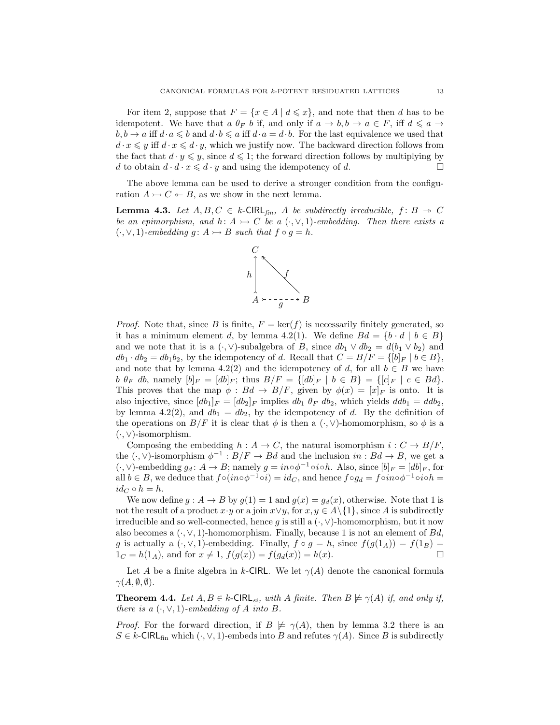For item [2,](#page-11-3) suppose that  $F = \{x \in A \mid d \leq x\}$ , and note that then d has to be idempotent. We have that a  $\theta_F$  b if, and only if  $a \to b, b \to a \in F$ , iff  $d \leq a \to$  $b, b \to a$  iff  $d \cdot a \leq b$  and  $d \cdot b \leq a$  iff  $d \cdot a = d \cdot b$ . For the last equivalence we used that  $d \cdot x \leq y$  iff  $d \cdot x \leq d \cdot y$ , which we justify now. The backward direction follows from the fact that  $d \cdot y \leq y$ , since  $d \leq 1$ ; the forward direction follows by multiplying by d to obtain  $d \cdot d \cdot x \leq d \cdot y$  and using the idempotency of d.

The above lemma can be used to derive a stronger condition from the configuration  $A \rightarrowtail C \leftarrow B$ , as we show in the next lemma.

<span id="page-12-0"></span>**Lemma 4.3.** Let  $A, B, C \in k$ -CIRL<sub>fin</sub>, A be subdirectly irreducible,  $f: B \rightarrow C$ be an epimorphism, and h:  $A \rightarrow C$  be a  $(\cdot, \vee, 1)$ -embedding. Then there exists a  $(\cdot, \vee, 1)$ -embedding g:  $A \rightarrow B$  such that  $f \circ g = h$ .



*Proof.* Note that, since B is finite,  $F = \ker(f)$  is necessarily finitely generated, so it has a minimum element d, by lemma [4.2\(](#page-11-2)1). We define  $Bd = \{b \cdot d \mid b \in B\}$ and we note that it is a  $(·, ∨)$ -subalgebra of B, since  $db_1 ∨ db_2 = d(b_1 ∨ b_2)$  and  $db_1 \cdot db_2 = db_1b_2$ , by the idempotency of d. Recall that  $C = B/F = \{ [b]_F \mid b \in B \}$ , and note that by lemma [4.2\(](#page-11-2)2) and the idempotency of d, for all  $b \in B$  we have b  $\theta_F$  db, namely  $[b]_F = [db]_F$ ; thus  $B/F = \{[db]_F | b \in B\} = \{[c]_F | c \in Bd\}.$ This proves that the map  $\phi : Bd \to B/F$ , given by  $\phi(x) = [x]_F$  is onto. It is also injective, since  $[db_1]_F = [db_2]_F$  implies  $db_1 \theta_F db_2$ , which yields  $ddb_1 = ddb_2$ , by lemma [4.2\(](#page-11-2)2), and  $db_1 = db_2$ , by the idempotency of d. By the definition of the operations on  $B/F$  it is clear that  $\phi$  is then a  $(\cdot, \vee)$ -homomorphism, so  $\phi$  is a (·, ∨)-isomorphism.

Composing the embedding  $h : A \to C$ , the natural isomorphism  $i : C \to B/F$ , the  $(\cdot, \vee)$ -isomorphism  $\phi^{-1}: B/F \to Bd$  and the inclusion  $in: Bd \to B$ , we get a  $(\cdot, \vee)$ -embedding  $g_d: A \to B$ ; namely  $g = in \circ \phi^{-1} \circ i \circ h$ . Also, since  $[b]_F = [db]_F$ , for all  $b \in B$ , we deduce that  $f \circ (in \circ \phi^{-1} \circ i) = id_C$ , and hence  $f \circ g_d = f \circ in \circ \phi^{-1} \circ i \circ h =$  $id_C \circ h = h.$ 

We now define  $g : A \to B$  by  $g(1) = 1$  and  $g(x) = g_d(x)$ , otherwise. Note that 1 is not the result of a product  $x \cdot y$  or a join  $x \vee y$ , for  $x, y \in A \setminus \{1\}$ , since A is subdirectly irreducible and so well-connected, hence g is still a  $(\cdot, \vee)$ -homomorphism, but it now also becomes a  $(\cdot, \vee, 1)$ -homomorphism. Finally, because 1 is not an element of  $Bd$ , g is actually a  $(\cdot, \vee, 1)$ -embedding. Finally,  $f \circ g = h$ , since  $f(g(1_A)) = f(1_B) =$  $1_C = h(1_A)$ , and for  $x \neq 1$ ,  $f(g(x)) = f(g_d(x)) = h(x)$ .

Let A be a finite algebra in k-CIRL. We let  $\gamma(A)$  denote the canonical formula  $\gamma(A,\emptyset,\emptyset).$ 

<span id="page-12-1"></span>**Theorem 4.4.** Let  $A, B \in k$ -CIRL<sub>si</sub>, with A finite. Then  $B \not\models \gamma(A)$  if, and only if, there is a  $(\cdot, \vee, 1)$ -embedding of A into B.

*Proof.* For the forward direction, if  $B \not\models \gamma(A)$ , then by lemma [3.2](#page-6-1) there is an  $S \in k$ -CIRL<sub>fin</sub> which  $(\cdot, \vee, 1)$ -embeds into B and refutes  $\gamma(A)$ . Since B is subdirectly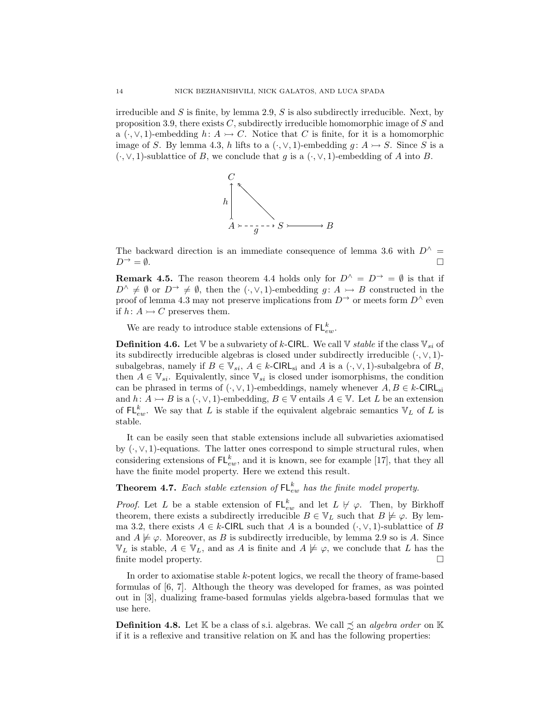irreducible and  $S$  is finite, by lemma [2.9,](#page-5-1)  $S$  is also subdirectly irreducible. Next, by proposition [3.9,](#page-9-8) there exists  $C$ , subdirectly irreducible homomorphic image of  $S$  and a  $(\cdot, \vee, 1)$ -embedding  $h: A \rightarrow C$ . Notice that C is finite, for it is a homomorphic image of S. By lemma [4.3,](#page-12-0) h lifts to a  $(\cdot, \vee, 1)$ -embedding  $g: A \rightarrow S$ . Since S is a  $(\cdot, \vee, 1)$ -sublattice of B, we conclude that g is a  $(\cdot, \vee, 1)$ -embedding of A into B.



The backward direction is an immediate consequence of lemma [3.6](#page-7-5) with  $D^{\wedge}$  =  $D^{\rightarrow} = \emptyset.$ 

**Remark 4.5.** The reason theorem [4.4](#page-12-1) holds only for  $D^{\wedge} = D^{\rightarrow} = \emptyset$  is that if  $D^{\wedge} \neq \emptyset$  or  $D^{\rightarrow} \neq \emptyset$ , then the  $(\cdot, \vee, 1)$ -embedding  $q: A \rightarrow B$  constructed in the proof of lemma [4.3](#page-12-0) may not preserve implications from  $D^{\rightarrow}$  or meets form  $D^{\wedge}$  even if  $h: A \rightarrowtail C$  preserves them.

We are ready to introduce stable extensions of  $\mathsf{FL}_{ew}^k$ .

**Definition 4.6.** Let V be a subvariety of k-CIRL. We call V *stable* if the class  $V_{si}$  of its subdirectly irreducible algebras is closed under subdirectly irreducible  $(\cdot, \vee, 1)$ subalgebras, namely if  $B \in V_{si}$ ,  $A \in k$ -CIRL<sub>si</sub> and A is a  $(\cdot, \vee, 1)$ -subalgebra of B, then  $A \in \mathbb{V}_{si}$ . Equivalently, since  $\mathbb{V}_{si}$  is closed under isomorphisms, the condition can be phrased in terms of  $(\cdot, \vee, 1)$ -embeddings, namely whenever  $A, B \in k$ -CIRL<sub>si</sub> and  $h: A \rightarrow B$  is a  $(\cdot, \vee, 1)$ -embedding,  $B \in \mathbb{V}$  entails  $A \in \mathbb{V}$ . Let L be an extension of  $\mathsf{FL}_{ew}^k$ . We say that L is stable if the equivalent algebraic semantics  $\mathbb{V}_L$  of L is stable.

It can be easily seen that stable extensions include all subvarieties axiomatised by  $(\cdot, \vee, 1)$ -equations. The latter ones correspond to simple structural rules, when considering extensions of  $FL_{ew}^k$ , and it is known, see for example [\[17\]](#page-18-7), that they all have the finite model property. Here we extend this result.

<span id="page-13-0"></span>**Theorem 4.7.** Each stable extension of  $FL_{ew}^k$  has the finite model property.

*Proof.* Let L be a stable extension of  $FL_{ew}^k$  and let  $L \not\vdash \varphi$ . Then, by Birkhoff theorem, there exists a subdirectly irreducible  $B \in V_L$  such that  $B \not\models \varphi$ . By lem-ma [3.2,](#page-6-1) there exists  $A \in k$ -CIRL such that A is a bounded  $(\cdot, \vee, 1)$ -sublattice of B and  $A \not\models \varphi$ . Moreover, as B is subdirectly irreducible, by lemma [2.9](#page-5-1) so is A. Since  $\mathbb{V}_L$  is stable,  $A \in \mathbb{V}_L$ , and as A is finite and  $A \not\models \varphi$ , we conclude that L has the finite model property.  $\Box$ 

In order to axiomatise stable  $k$ -potent logics, we recall the theory of frame-based formulas of [\[6,](#page-18-17) [7\]](#page-18-18). Although the theory was developed for frames, as was pointed out in [\[3\]](#page-18-2), dualizing frame-based formulas yields algebra-based formulas that we use here.

<span id="page-13-1"></span>**Definition 4.8.** Let K be a class of s.i. algebras. We call  $\preceq$  an *algebra order* on K if it is a reflexive and transitive relation on  $K$  and has the following properties: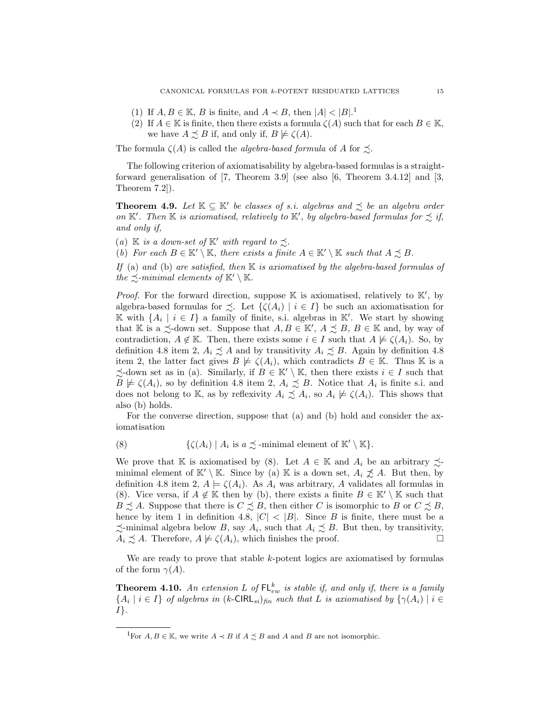- <span id="page-14-5"></span>([1](#page-14-0)) If  $A, B \in \mathbb{K}$ , B is finite, and  $A \prec B$ , then  $|A| < |B|$ .<sup>1</sup>
- <span id="page-14-3"></span>(2) If  $A \in \mathbb{K}$  is finite, then there exists a formula  $\zeta(A)$  such that for each  $B \in \mathbb{K}$ , we have  $A \precsim B$  if, and only if,  $B \not\models \zeta(A)$ .

The formula  $\zeta(A)$  is called the *algebra-based formula* of A for  $\preceq$ .

The following criterion of axiomatisability by algebra-based formulas is a straightforward generalisation of [\[7,](#page-18-18) Theorem 3.9] (see also [\[6,](#page-18-17) Theorem 3.4.12] and [\[3,](#page-18-2) Theorem 7.2]).

<span id="page-14-6"></span>**Theorem 4.9.** Let  $K \subseteq K'$  be classes of s.i. algebras and  $\precsim$  be an algebra order on  $K'$ . Then K is axiomatised, relatively to  $K'$ , by algebra-based formulas for  $\precsim$  if, and only if,

<span id="page-14-1"></span>(a)  $\mathbb K$  is a down-set of  $\mathbb K'$  with regard to  $\precsim$ .

<span id="page-14-2"></span>(b) For each  $B \in \mathbb{K}' \setminus \mathbb{K}$ , there exists a finite  $A \in \mathbb{K}' \setminus \mathbb{K}$  such that  $A \precsim B$ .

If [\(a\)](#page-14-1) and [\(b\)](#page-14-2) are satisfied, then  $K$  is axiomatised by the algebra-based formulas of the  $\preceq$ -minimal elements of  $\mathbb{K}' \setminus \mathbb{K}$ .

*Proof.* For the forward direction, suppose  $\mathbb K$  is axiomatised, relatively to  $\mathbb K'$ , by algebra-based formulas for  $\precsim$ . Let  $\{\zeta(A_i) \mid i \in I\}$  be such an axiomatisation for K with  $\{A_i \mid i \in I\}$  a family of finite, s.i. algebras in K'. We start by showing that K is a  $\preceq$ -down set. Suppose that  $A, B \in \mathbb{K}'$ ,  $A \preceq B$ ,  $B \in \mathbb{K}$  and, by way of contradiction,  $A \notin \mathbb{K}$ . Then, there exists some  $i \in I$  such that  $A \not\models \zeta(A_i)$ . So, by definition [4.8](#page-13-1) item [2,](#page-14-3)  $A_i \precsim A$  and by transitivity  $A_i \precsim B$ . Again by definition 4.8 item [2,](#page-14-3) the latter fact gives  $B \not\models \zeta(A_i)$ , which contradicts  $B \in \mathbb{K}$ . Thus K is a  $\precsim$ -down set as in [\(a\)](#page-14-1). Similarly, if  $B \in K' \setminus K$ , then there exists  $i \in I$  such that  $B \not\models \zeta(A_i)$ , so by definition [4.8](#page-13-1) item [2,](#page-14-3)  $A_i \precsim B$ . Notice that  $A_i$  is finite s.i. and does not belong to K, as by reflexivity  $A_i \precsim A_i$ , so  $A_i \not\models \zeta(A_i)$ . This shows that also [\(b\)](#page-14-2) holds.

For the converse direction, suppose that [\(a\)](#page-14-1) and [\(b\)](#page-14-2) hold and consider the axiomatisation

<span id="page-14-4"></span>(8) 
$$
\{\zeta(A_i) \mid A_i \text{ is } a \precsim \text{-minimal element of } \mathbb{K}' \setminus \mathbb{K}\}.
$$

We prove that K is axiomatised by [\(8\)](#page-14-4). Let  $A \in \mathbb{K}$  and  $A_i$  be an arbitrary  $\precsim$ minimal element of  $\mathbb{K}' \setminus \mathbb{K}$ . Since by [\(a\)](#page-14-1)  $\mathbb{K}$  is a down set,  $A_i \not\preceq A$ . But then, by definition [4.8](#page-13-1) item [2,](#page-14-3)  $A \models \zeta(A_i)$ . As  $A_i$  was arbitrary, A validates all formulas in [\(8\)](#page-14-4). Vice versa, if  $A \notin \mathbb{K}$  then by [\(b\)](#page-14-2), there exists a finite  $B \in \mathbb{K}' \setminus \mathbb{K}$  such that  $B \precsim A$ . Suppose that there is  $C \precsim B$ , then either C is isomorphic to B or  $C \precsim B$ , hence by item [1](#page-14-5) in definition [4.8,](#page-13-1)  $|C|$  <  $|B|$ . Since B is finite, there must be a  $\precsim$ -minimal algebra below B, say  $A_i$ , such that  $A_i \precsim B$ . But then, by transitivity,  $A_i \precsim A$ . Therefore,  $A \not\models \zeta(A_i)$ , which finishes the proof.

We are ready to prove that stable  $k$ -potent logics are axiomatised by formulas of the form  $\gamma(A)$ .

**Theorem 4.10.** An extension L of  $FL_{ew}^k$  is stable if, and only if, there is a family  $\{A_i \mid i \in I\}$  of algebras in  $(k\text{-CIRL}_{si})_{fin}$  such that L is axiomatised by  $\{\gamma(A_i) \mid i \in I\}$ I}.

<span id="page-14-0"></span><sup>&</sup>lt;sup>1</sup>For  $A, B \in \mathbb{K}$ , we write  $A \prec B$  if  $A \preceq B$  and A and B are not isomorphic.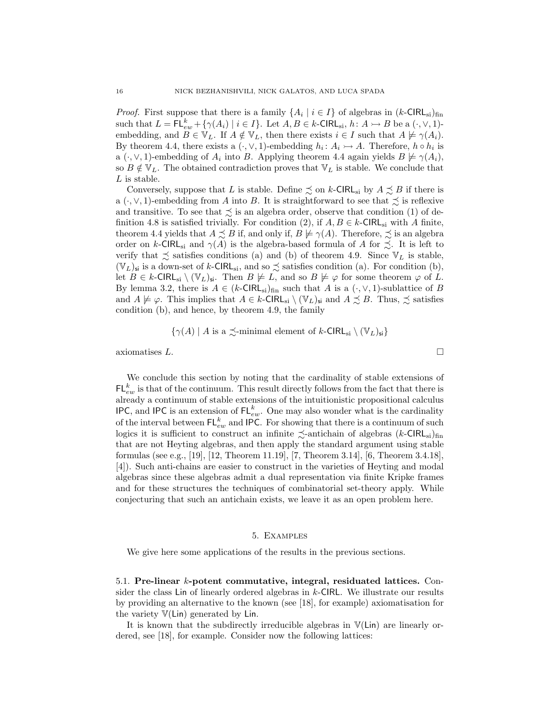*Proof.* First suppose that there is a family  $\{A_i \mid i \in I\}$  of algebras in  $(k\text{-CIRL}_{si})_{fin}$ such that  $L = \mathsf{FL}_{ew}^k + \{ \gamma(A_i) \mid i \in I \}$ . Let  $A, B \in k$ -CIRL<sub>si</sub>,  $h: A \rightarrowtail B$  be a  $(\cdot, \vee, 1)$ embedding, and  $B \in \mathbb{V}_L$ . If  $A \notin \mathbb{V}_L$ , then there exists  $i \in I$  such that  $A \not\models \gamma(A_i)$ . By theorem [4.4,](#page-12-1) there exists a  $(·, ∨, 1)$ -embedding  $h_i: A_i \rightarrow A$ . Therefore,  $h \circ h_i$  is a ( $\cdot$ ,  $\vee$ , 1)-embedding of  $A_i$  into B. Applying theorem [4.4](#page-12-1) again yields  $B \not\models \gamma(A_i)$ , so  $B \notin \mathbb{V}_L$ . The obtained contradiction proves that  $\mathbb{V}_L$  is stable. We conclude that L is stable.

Conversely, suppose that L is stable. Define  $\precsim$  on k-CIRL<sub>si</sub> by  $A \precsim B$  if there is a  $(\cdot, \vee, 1)$ -embedding from A into B. It is straightforward to see that  $\precsim$  is reflexive and transitive. To see that  $\precsim$  is an algebra order, observe that condition (1) of de-finition [4.8](#page-13-1) is satisfied trivially. For condition (2), if  $A, B \in k$ -CIRL<sub>si</sub> with A finite, theorem [4.4](#page-12-1) yields that  $A \precsim B$  if, and only if,  $B \not\models \gamma(A)$ . Therefore,  $\precsim$  is an algebra order on k-CIRL<sub>si</sub> and  $\gamma(A)$  is the algebra-based formula of A for  $\preceq$ . It is left to verify that  $\precsim$  satisfies conditions (a) and (b) of theorem [4.9.](#page-14-6) Since  $V_L$  is stable,  $(\mathbb{V}_L)_{\mathsf{si}}$  is a down-set of k-CIRL<sub>si</sub>, and so  $\precsim$  satisfies condition (a). For condition (b), let  $B \in k$ -CIRL<sub>si</sub>  $(\mathbb{V}_L)_{\mathbf{s}i}$ . Then  $B \not\models L$ , and so  $B \not\models \varphi$  for some theorem  $\varphi$  of L. By lemma [3.2,](#page-6-1) there is  $A \in (k\text{-CIRL}_{\text{si}})_{\text{fin}}$  such that A is a  $(\cdot, \vee, 1)$ -sublattice of B and  $A \not\models \varphi$ . This implies that  $A \in k$ -CIRL<sub>si</sub>  $\setminus (\mathbb{V}_L)_{\mathsf{si}}$  and  $A \precsim B$ . Thus,  $\precsim$  satisfies condition (b), and hence, by theorem [4.9,](#page-14-6) the family

$$
\{\gamma(A) \mid A \text{ is a } \preceq \text{minimal element of } k\text{-CIRL}_{si} \setminus (\mathbb{V}_L)_{si}\}\
$$

axiomatises  $L$ .

We conclude this section by noting that the cardinality of stable extensions of  $\mathsf{FL}_{ew}^k$  is that of the continuum. This result directly follows from the fact that there is already a continuum of stable extensions of the intuitionistic propositional calculus IPC, and IPC is an extension of  $FL_{ew}^k$ . One may also wonder what is the cardinality of the interval between  $\mathsf{FL}^k_{ew}$  and IPC. For showing that there is a continuum of such logics it is sufficient to construct an infinite  $\precsim$ -antichain of algebras  $(k\text{-CIRL}_{si})_{fin}$ that are not Heyting algebras, and then apply the standard argument using stable formulas (see e.g., [\[19\]](#page-18-19), [\[12,](#page-18-0) Theorem 11.19], [\[7,](#page-18-18) Theorem 3.14], [\[6,](#page-18-17) Theorem 3.4.18], [\[4\]](#page-18-5)). Such anti-chains are easier to construct in the varieties of Heyting and modal algebras since these algebras admit a dual representation via finite Kripke frames and for these structures the techniques of combinatorial set-theory apply. While conjecturing that such an antichain exists, we leave it as an open problem here.

#### 5. Examples

<span id="page-15-0"></span>We give here some applications of the results in the previous sections.

5.1. Pre-linear k-potent commutative, integral, residuated lattices. Consider the class Lin of linearly ordered algebras in k-CIRL. We illustrate our results by providing an alternative to the known (see [\[18\]](#page-18-11), for example) axiomatisation for the variety  $V(\text{Lin})$  generated by Lin.

It is known that the subdirectly irreducible algebras in V(Lin) are linearly ordered, see [\[18\]](#page-18-11), for example. Consider now the following lattices: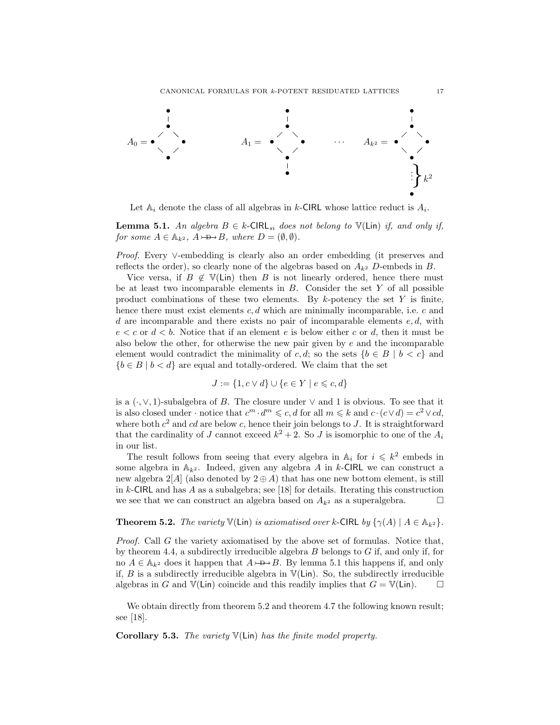

Let  $\mathbb{A}_i$  denote the class of all algebras in k-CIRL whose lattice reduct is  $A_i$ .

<span id="page-16-0"></span>**Lemma 5.1.** An algebra  $B \in k$ -CIRL<sub>si</sub> does not belong to  $\mathbb{V}$ (Lin) if, and only if, for some  $A \in \mathbb{A}_{k^2}$ ,  $A \rightarrow B$ , where  $D = (\emptyset, \emptyset)$ .

*Proof.* Every ∨-embedding is clearly also an order embedding (it preserves and reflects the order), so clearly none of the algebras based on  $A_{k^2}$  D-embeds in B.

Vice versa, if  $B \notin \mathbb{V}(\text{Lin})$  then B is not linearly ordered, hence there must be at least two incomparable elements in  $B$ . Consider the set  $Y$  of all possible product combinations of these two elements. By  $k$ -potency the set Y is finite, hence there must exist elements  $c, d$  which are minimally incomparable, i.e.  $c$  and d are incomparable and there exists no pair of incomparable elements  $e, d$ , with  $e < c$  or  $d < b$ . Notice that if an element e is below either c or d, then it must be also below the other, for otherwise the new pair given by  $e$  and the incomparable element would contradict the minimality of c, d; so the sets  ${b \in B \mid b < c}$  and  ${b \in B \mid b < d}$  are equal and totally-ordered. We claim that the set

$$
J := \{1, c \lor d\} \cup \{e \in Y \mid e \leq c, d\}
$$

is a  $(·, ∨, 1)$ -subalgebra of B. The closure under  $∨$  and 1 is obvious. To see that it is also closed under · notice that  $c^m \cdot d^m \leqslant c$ , d for all  $m \leqslant k$  and  $c \cdot (c \vee d) = c^2 \vee cd$ , where both  $c^2$  and cd are below c, hence their join belongs to J. It is straightforward that the cardinality of J cannot exceed  $k^2 + 2$ . So J is isomorphic to one of the  $A_i$ in our list.

The result follows from seeing that every algebra in  $\mathbb{A}_i$  for  $i \leq k^2$  embeds in some algebra in  $A_{k^2}$ . Indeed, given any algebra A in k-CIRL we can construct a new algebra  $2[A]$  (also denoted by  $2 \oplus A$ ) that has one new bottom element, is still in k-CIRL and has A as a subalgebra; see [\[18\]](#page-18-11) for details. Iterating this construction we see that we can construct an algebra based on  $A_{k^2}$  as a superalgebra.  $\Box$ 

## <span id="page-16-1"></span>**Theorem 5.2.** The variety  $\mathbb{V}(\text{Lin})$  is axiomatised over k-CIRL by  $\{\gamma(A) \mid A \in \mathbb{A}_{k^2}\}.$

Proof. Call G the variety axiomatised by the above set of formulas. Notice that, by theorem [4.4,](#page-12-1) a subdirectly irreducible algebra  $B$  belongs to  $G$  if, and only if, for no  $A \in \mathbb{A}_{k^2}$  does it happen that  $A \rightarrow B$ . By lemma [5.1](#page-16-0) this happens if, and only if,  $B$  is a subdirectly irreducible algebra in  $V(\text{Lin})$ . So, the subdirectly irreducible algebras in G and  $\mathbb{V}(\text{Lin})$  coincide and this readily implies that  $G = \mathbb{V}(\text{Lin})$ .

We obtain directly from theorem [5.2](#page-16-1) and theorem [4.7](#page-13-0) the following known result; see [\[18\]](#page-18-11).

**Corollary 5.3.** The variety  $V(\text{Lin})$  has the finite model property.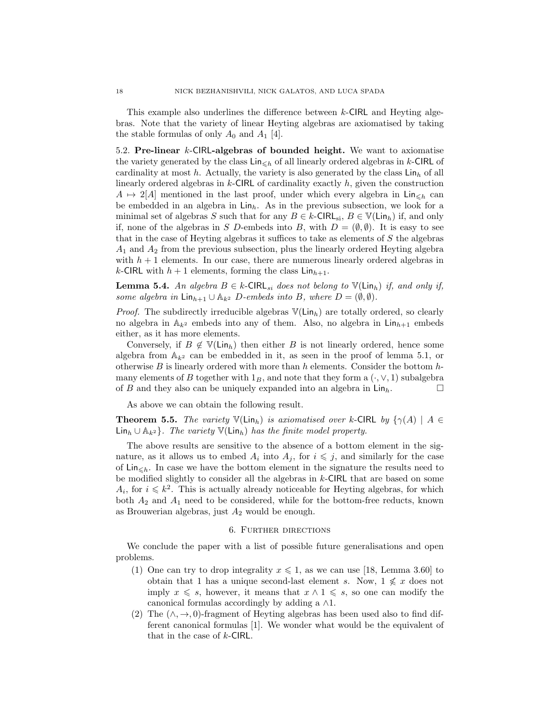This example also underlines the difference between k-CIRL and Heyting algebras. Note that the variety of linear Heyting algebras are axiomatised by taking the stable formulas of only  $A_0$  and  $A_1$  [\[4\]](#page-18-5).

5.2. Pre-linear k-CIRL-algebras of bounded height. We want to axiomatise the variety generated by the class  $\text{Lin}_{\leq h}$  of all linearly ordered algebras in k-CIRL of cardinality at most h. Actually, the variety is also generated by the class  $\text{Lin}_h$  of all linearly ordered algebras in  $k$ -CIRL of cardinality exactly  $h$ , given the construction  $A \mapsto 2[A]$  mentioned in the last proof, under which every algebra in Lin<sub> $\leq h$ </sub> can be embedded in an algebra in  $\text{Lin}_h$ . As in the previous subsection, we look for a minimal set of algebras S such that for any  $B \in k$ -CIRL<sub>si</sub>,  $B \in \mathbb{V}(\text{Lin}_h)$  if, and only if, none of the algebras in S D-embeds into B, with  $D = (\emptyset, \emptyset)$ . It is easy to see that in the case of Heyting algebras it suffices to take as elements of S the algebras  $A_1$  and  $A_2$  from the previous subsection, plus the linearly ordered Heyting algebra with  $h + 1$  elements. In our case, there are numerous linearly ordered algebras in k-CIRL with  $h + 1$  elements, forming the class  $\text{Lin}_{h+1}$ .

**Lemma 5.4.** An algebra  $B \in k$ -CIRL<sub>si</sub> does not belong to  $\mathbb{V}(\text{Lin}_h)$  if, and only if, some algebra in  $\text{Lin}_{h+1} \cup \mathbb{A}_{k^2}$  D-embeds into B, where  $D = (\emptyset, \emptyset)$ .

*Proof.* The subdirectly irreducible algebras  $V(\text{Lin}_h)$  are totally ordered, so clearly no algebra in  $\mathbb{A}_{k^2}$  embeds into any of them. Also, no algebra in  $\mathsf{Lin}_{h+1}$  embeds either, as it has more elements.

Conversely, if  $B \notin \mathbb{V}(\mathsf{Lin}_h)$  then either B is not linearly ordered, hence some algebra from  $A_{k^2}$  can be embedded in it, as seen in the proof of lemma [5.1,](#page-16-0) or otherwise B is linearly ordered with more than h elements. Consider the bottom  $h$ many elements of B together with  $1_B$ , and note that they form a  $(·, ∨, 1)$  subalgebra of B and they also can be uniquely expanded into an algebra in  $\text{Lin}_h$ .

As above we can obtain the following result.

**Theorem 5.5.** The variety  $\mathbb{V}(\text{Lin}_h)$  is axiomatised over k-CIRL by  $\{\gamma(A) \mid A \in$  $\text{Lin}_h \cup \mathbb{A}_{k^2}$ . The variety  $\mathbb{V}(\text{Lin}_h)$  has the finite model property.

The above results are sensitive to the absence of a bottom element in the signature, as it allows us to embed  $A_i$  into  $A_j$ , for  $i \leq j$ , and similarly for the case of  $\text{Lin}_{\leq h}$ . In case we have the bottom element in the signature the results need to be modified slightly to consider all the algebras in  $k$ -CIRL that are based on some  $A_i$ , for  $i \leq k^2$ . This is actually already noticeable for Heyting algebras, for which both  $A_2$  and  $A_1$  need to be considered, while for the bottom-free reducts, known as Brouwerian algebras, just  $A_2$  would be enough.

### 6. Further directions

We conclude the paper with a list of possible future generalisations and open problems.

- (1) One can try to drop integrality  $x \leq 1$ , as we can use [\[18,](#page-18-11) Lemma 3.60] to obtain that 1 has a unique second-last element s. Now,  $1 \nleq x$  does not imply  $x \leq s$ , however, it means that  $x \wedge 1 \leq s$ , so one can modify the canonical formulas accordingly by adding a  $\wedge 1$ .
- (2) The  $(\wedge, \rightarrow, 0)$ -fragment of Heyting algebras has been used also to find different canonical formulas [\[1\]](#page-18-1). We wonder what would be the equivalent of that in the case of  $k$ -CIRL.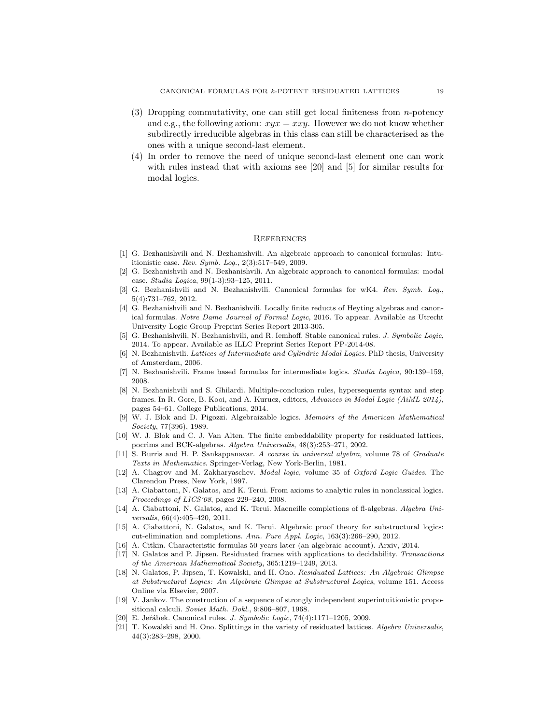- (3) Dropping commutativity, one can still get local finiteness from n-potency and e.g., the following axiom:  $xyz = xxy$ . However we do not know whether subdirectly irreducible algebras in this class can still be characterised as the ones with a unique second-last element.
- (4) In order to remove the need of unique second-last element one can work with rules instead that with axioms see [\[20\]](#page-18-20) and [\[5\]](#page-18-4) for similar results for modal logics.

#### **REFERENCES**

- <span id="page-18-1"></span>[1] G. Bezhanishvili and N. Bezhanishvili. An algebraic approach to canonical formulas: Intuitionistic case. Rev. Symb. Log., 2(3):517–549, 2009.
- <span id="page-18-3"></span>[2] G. Bezhanishvili and N. Bezhanishvili. An algebraic approach to canonical formulas: modal case. Studia Logica, 99(1-3):93–125, 2011.
- <span id="page-18-2"></span>[3] G. Bezhanishvili and N. Bezhanishvili. Canonical formulas for wK4. Rev. Symb. Log., 5(4):731–762, 2012.
- <span id="page-18-5"></span>[4] G. Bezhanishvili and N. Bezhanishvili. Locally finite reducts of Heyting algebras and canonical formulas. Notre Dame Journal of Formal Logic, 2016. To appear. Available as Utrecht University Logic Group Preprint Series Report 2013-305.
- <span id="page-18-4"></span>[5] G. Bezhanishvili, N. Bezhanishvili, and R. Iemhoff. Stable canonical rules. J. Symbolic Logic, 2014. To appear. Available as ILLC Preprint Series Report PP-2014-08.
- <span id="page-18-17"></span>[6] N. Bezhanishvili. Lattices of Intermediate and Cylindric Modal Logics. PhD thesis, University of Amsterdam, 2006.
- <span id="page-18-18"></span>[7] N. Bezhanishvili. Frame based formulas for intermediate logics. Studia Logica, 90:139–159, 2008.
- <span id="page-18-6"></span>[8] N. Bezhanishvili and S. Ghilardi. Multiple-conclusion rules, hypersequents syntax and step frames. In R. Gore, B. Kooi, and A. Kurucz, editors, Advances in Modal Logic (AiML 2014), pages 54–61. College Publications, 2014.
- <span id="page-18-13"></span>[9] W. J. Blok and D. Pigozzi. Algebraizable logics. Memoirs of the American Mathematical Society, 77(396), 1989.
- <span id="page-18-12"></span>[10] W. J. Blok and C. J. Van Alten. The finite embeddability property for residuated lattices, pocrims and BCK-algebras. Algebra Universalis, 48(3):253–271, 2002.
- <span id="page-18-14"></span>[11] S. Burris and H. P. Sankappanavar. A course in universal algebra, volume 78 of Graduate Texts in Mathematics. Springer-Verlag, New York-Berlin, 1981.
- <span id="page-18-0"></span>[12] A. Chagrov and M. Zakharyaschev. *Modal logic*, volume 35 of Oxford Logic Guides. The Clarendon Press, New York, 1997.
- <span id="page-18-8"></span>[13] A. Ciabattoni, N. Galatos, and K. Terui. From axioms to analytic rules in nonclassical logics. Proceedings of LICS'08, pages 229–240, 2008.
- <span id="page-18-9"></span>[14] A. Ciabattoni, N. Galatos, and K. Terui. Macneille completions of fl-algebras. Algebra Universalis, 66(4):405–420, 2011.
- <span id="page-18-10"></span>[15] A. Ciabattoni, N. Galatos, and K. Terui. Algebraic proof theory for substructural logics: cut-elimination and completions. Ann. Pure Appl. Logic, 163(3):266–290, 2012.
- <span id="page-18-15"></span>[16] A. Citkin. Characteristic formulas 50 years later (an algebraic account). Arxiv, 2014.
- <span id="page-18-7"></span>[17] N. Galatos and P. Jipsen. Residuated frames with applications to decidability. Transactions of the American Mathematical Society, 365:1219–1249, 2013.
- <span id="page-18-11"></span>[18] N. Galatos, P. Jipsen, T. Kowalski, and H. Ono. Residuated Lattices: An Algebraic Glimpse at Substructural Logics: An Algebraic Glimpse at Substructural Logics, volume 151. Access Online via Elsevier, 2007.
- <span id="page-18-19"></span>[19] V. Jankov. The construction of a sequence of strongly independent superintuitionistic propositional calculi. Soviet Math. Dokl., 9:806–807, 1968.
- <span id="page-18-20"></span>E. Jeřábek. Canonical rules. J. Symbolic Logic, 74(4):1171–1205, 2009.
- <span id="page-18-16"></span>[21] T. Kowalski and H. Ono. Splittings in the variety of residuated lattices. Algebra Universalis, 44(3):283–298, 2000.